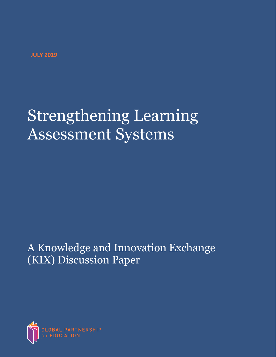# Strengthening Learning Assessment Systems

## A Knowledge and Innovation Exchange (KIX) Discussion Paper

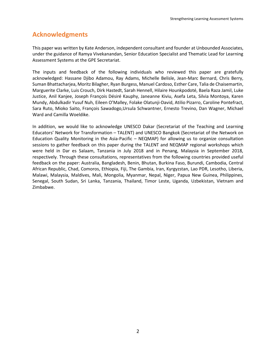## **Acknowledgments**

This paper was written by Kate Anderson, independent consultant and founder at Unbounded Associates, under the guidance of Ramya Vivekanandan, Senior Education Specialist and Thematic Lead for Learning Assessment Systems at the GPE Secretariat.

The inputs and feedback of the following individuals who reviewed this paper are gratefully acknowledged: Hassane Djibo Adamou, Ray Adams, Michelle Belisle, Jean-Marc Bernard, Chris Berry, Suman Bhattacharjea, Moritz Bilagher, Ryan Burgess, Manuel Cardoso, Esther Care, Talia de Chaisemartin, Marguerite Clarke, Luis Crouch, Dirk Hastedt, Sarah Hennell, Hilaire Hounkpodoté, Baela Raza Jamil, Luke Justice, Anil Kanjee, Joseph François Désiré Kauphy, Janeanne Kiviu, Asefa Leta, Silvia Montoya, Karen Mundy, Abdulkadir Yusuf Nuh, Eileen O'Malley, Folake Olatunji-David, Atilio Pizarro, Caroline Pontefract, Sara Ruto, Mioko Saito, François Sawadogo,Ursula Schwantner, Ernesto Trevino, Dan Wagner, Michael Ward and Camilla Woeldike.

In addition, we would like to acknowledge UNESCO Dakar (Secretariat of the Teaching and Learning Educators' Network for Transformation – TALENT) and UNESCO Bangkok (Secretariat of the Network on Education Quality Monitoring in the Asia-Pacific – NEQMAP) for allowing us to organize consultation sessions to gather feedback on this paper during the TALENT and NEQMAP regional workshops which were held in Dar es Salaam, Tanzania in July 2018 and in Penang, Malaysia in September 2018, respectively. Through these consultations, representatives from the following countries provided useful feedback on the paper: Australia, Bangladesh, Benin, Bhutan, Burkina Faso, Burundi, Cambodia, Central African Republic, Chad, Comoros, Ethiopia, Fiji, The Gambia, Iran, Kyrgyzstan, Lao PDR, Lesotho, Liberia, Malawi, Malaysia, Maldives, Mali, Mongolia, Myanmar, Nepal, Niger, Papua New Guinea, Philippines, Senegal, South Sudan, Sri Lanka, Tanzania, Thailand, Timor Leste, Uganda, Uzbekistan, Vietnam and Zimbabwe.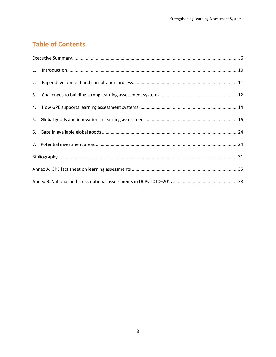## **Table of Contents**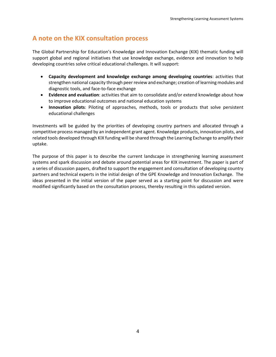### **A note on the KIX consultation process**

The Global Partnership for Education's Knowledge and Innovation Exchange (KIX) thematic funding will support global and regional initiatives that use knowledge exchange, evidence and innovation to help developing countries solve critical educational challenges. It will support:

- **Capacity development and knowledge exchange among developing countries**: activities that strengthen national capacity through peer review and exchange; creation of learning modules and diagnostic tools, and face-to-face exchange
- **Evidence and evaluation**: activities that aim to consolidate and/or extend knowledge about how to improve educational outcomes and national education systems
- **Innovation pilots**: Piloting of approaches, methods, tools or products that solve persistent educational challenges

Investments will be guided by the priorities of developing country partners and allocated through a competitive process managed by an independent grant agent. Knowledge products, innovation pilots, and related tools developed through KIX funding will be shared through the Learning Exchange to amplify their uptake.

The purpose of this paper is to describe the current landscape in strengthening learning assessment systems and spark discussion and debate around potential areas for KIX investment. The paper is part of a series of discussion papers, drafted to support the engagement and consultation of developing country partners and technical experts in the initial design of the GPE Knowledge and Innovation Exchange. The ideas presented in the initial version of the paper served as a starting point for discussion and were modified significantly based on the consultation process, thereby resulting in this updated version.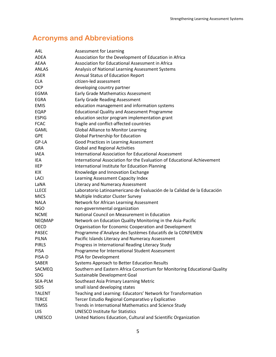## **Acronyms and Abbreviations**

| A4L           | Assessment for Learning                                                   |
|---------------|---------------------------------------------------------------------------|
| <b>ADFA</b>   | Association for the Development of Education in Africa                    |
| AEAA          | Association for Educational Assessment in Africa                          |
| <b>ANLAS</b>  | Analysis of National Learning Assessment Systems                          |
| <b>ASER</b>   | Annual Status of Education Report                                         |
| <b>CLA</b>    | citizen-led assessment                                                    |
| <b>DCP</b>    | developing country partner                                                |
| EGMA          | Early Grade Mathematics Assessment                                        |
| <b>EGRA</b>   | <b>Early Grade Reading Assessment</b>                                     |
| <b>EMIS</b>   | education management and information systems                              |
| EQAP          | <b>Educational Quality and Assessment Programme</b>                       |
| <b>ESPIG</b>  | education sector program implementation grant                             |
| <b>FCAC</b>   | fragile and conflict-affected countries                                   |
| <b>GAML</b>   | <b>Global Alliance to Monitor Learning</b>                                |
| <b>GPE</b>    | <b>Global Partnership for Education</b>                                   |
| GP-LA         | Good Practices in Learning Assessment                                     |
| <b>GRA</b>    | <b>Global and Regional Activities</b>                                     |
| <b>IAEA</b>   | <b>International Association for Educational Assessment</b>               |
| IEA           | International Association for the Evaluation of Educational Achievement   |
| <b>IIEP</b>   | International Institute for Education Planning                            |
| KIX           | Knowledge and Innovation Exchange                                         |
| LACI          | Learning Assessment Capacity Index                                        |
| LaNA          | <b>Literacy and Numeracy Assessment</b>                                   |
| <b>LLECE</b>  | Laboratorio Latinoamericano de Evaluación de la Calidad de la Educación   |
| <b>MICS</b>   | Multiple Indicator Cluster Survey                                         |
| <b>NALA</b>   | Network for African Learning Assessment                                   |
| NGO           | non-governmental organization                                             |
| <b>NCME</b>   | National Council on Measurement in Education                              |
| <b>NEQMAP</b> | Network on Education Quality Monitoring in the Asia-Pacific               |
| <b>OECD</b>   | Organisation for Economic Cooperation and Development                     |
| <b>PASEC</b>  | Programme d'Analyse des Systèmes Educatifs de la CONFEMEN                 |
| <b>PILNA</b>  | Pacific Islands Literacy and Numeracy Assessment                          |
| <b>PIRLS</b>  | Progress in International Reading Literacy Study                          |
| <b>PISA</b>   | Programme for International Student Assessment                            |
| PISA-D        | PISA for Development                                                      |
| <b>SABER</b>  | Systems Approach to Better Education Results                              |
| SACMEQ        | Southern and Eastern Africa Consortium for Monitoring Educational Quality |
| <b>SDG</b>    | Sustainable Development Goal                                              |
| SEA-PLM       | Southeast Asia Primary Learning Metric                                    |
| <b>SIDS</b>   | small island developing states                                            |
| <b>TALENT</b> | Teaching and Learning: Educators' Network for Transformation              |
| <b>TERCE</b>  | Tercer Estudio Regional Comparativo y Explicativo                         |
| <b>TIMSS</b>  | Trends in International Mathematics and Science Study                     |
| <b>UIS</b>    | <b>UNESCO Institute for Statistics</b>                                    |
| <b>UNESCO</b> | United Nations Education, Cultural and Scientific Organization            |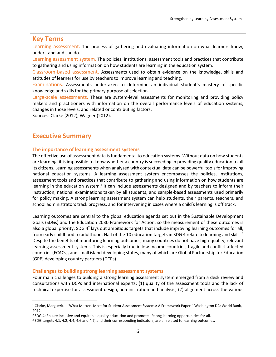#### **Key Terms**

Learning assessment. The process of gathering and evaluating information on what learners know, understand and can do.

Learning assessment system. The policies, institutions, assessment tools and practices that contribute to gathering and using information on how students are learning in the education system.

Classroom-based assessment. Assessments used to obtain evidence on the knowledge, skills and attitudes of learners for use by teachers to improve learning and teaching.

Examinations. Assessments undertaken to determine an individual student's mastery of specific knowledge and skills for the primary purpose of selection.

Large-scale assessments. These are system-level assessments for monitoring and providing policy makers and practitioners with information on the overall performance levels of education systems, changes in those levels, and related or contributing factors.

Sources: Clarke (2012), Wagner (2012).

## **Executive Summary**

 $\overline{a}$ 

#### **The importance of learning assessment systems**

The effective use of assessment data is fundamental to education systems. Without data on how students are learning, it is impossible to know whether a country is succeeding in providing quality education to all its citizens. Learning assessments when analyzed with contextual data can be powerful tools for improving national education systems. A learning assessment system encompasses the policies, institutions, assessment tools and practices that contribute to gathering and using information on how students are learning in the education system.<sup>1</sup> It can include assessments designed and by teachers to inform their instruction, national examinations taken by all students, and sample-based assessments used primarily for policy making. A strong learning assessment system can help students, their parents, teachers, and school administrators track progress, and for intervening in cases where a child's learning is off track.

Learning outcomes are central to the global education agenda set out in the Sustainable Development Goals (SDGs) and the Education 2030 Framework for Action, so the measurement of these outcomes is also a global priority. SDG 4<sup>2</sup> lays out ambitious targets that include improving learning outcomes for all, from early childhood to adulthood. Half of the 10 education targets in SDG 4 relate to learning and skills.<sup>3</sup> Despite the benefits of monitoring learning outcomes, many countries do not have high-quality, relevant learning assessment systems. This is especially true in low-income countries, fragile and conflict-affected countries (FCACs), and small island developing states, many of which are Global Partnership for Education (GPE) developing country partners (DCPs).

#### **Challenges to building strong learning assessment systems**

Four main challenges to building a strong learning assessment system emerged from a desk review and consultations with DCPs and international experts: (1) quality of the assessment tools and the lack of technical expertise for assessment design, administration and analysis; (2) alignment across the various

<sup>1</sup> Clarke, Marguerite. "What Matters Most for Student Assessment Systems: A Framework Paper." Washington DC: World Bank, 2012.

<sup>&</sup>lt;sup>2</sup> SDG 4: Ensure inclusive and equitable quality education and promote lifelong learning opportunities for all.

<sup>3</sup> SDG targets 4.1, 4.2, 4.4, 4.6 and 4.7, and their corresponding indicators, are all related to learning outcomes.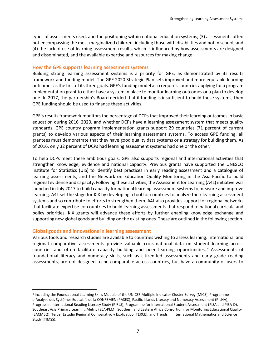types of assessments used, and the positioning within national education systems; (3) assessments often not encompassing the most marginalized children, including those with disabilities and not in school; and (4) the lack of use of learning assessment results, which is influenced by how assessments are designed and disseminated, and the available expertise and resources for making change.

#### **How the GPE supports learning assessment systems**

Building strong learning assessment systems is a priority for GPE, as demonstrated by its results framework and funding model. The GPE 2020 Strategic Plan sets improved and more equitable learning outcomes as the first of its three goals. GPE's funding model also requires countries applying for a program implementation grant to either have a system in place to monitor learning outcomes or a plan to develop one. In 2017, the partnership's Board decided that if funding is insufficient to build these systems, then GPE funding should be used to finance these activities.

GPE's results framework monitors the percentage of DCPs that improved their learning outcomes in basic education during 2016–2020, and whether DCPs have a learning assessment system that meets quality standards. GPE country program implementation grants support 29 countries (71 percent of current grants) to develop various aspects of their learning assessment systems. To access GPE funding, all grantees must demonstrate that they have good quality data systems or a strategy for building them. As of 2016, only 32 percent of DCPs had learning assessment systems had one or the other.

To help DCPs meet these ambitious goals, GPE also supports regional and international activities that strengthen knowledge, evidence and national capacity. Previous grants have supported the UNESCO Institute for Statistics (UIS) to identify best practices in early reading assessment and a catalogue of learning assessments, and the Network on Education Quality Monitoring in the Asia-Pacific to build regional evidence and capacity. Following these activities, the Assessment for Learning (A4L) initiative was launched in July 2017 to build capacity for national learning assessment systems to measure and improve learning. A4L set the stage for KIX by developing a tool for countries to analyze their learning assessment systems and so contribute to efforts to strengthen them. A4L also provides support for regional networks that facilitate expertise for countries to build learning assessments that respond to national curricula and policy priorities. KIX grants will advance these efforts by further enabling knowledge exchange and supporting new global goods and building on the existing ones. These are outlined in the following section.

#### **Global goods and innovations in learning assessment**

 $\overline{a}$ 

Various tools and research studies are available to countries wishing to assess learning. International and regional comparative assessments provide valuable cross-national data on student learning across countries and often facilitate capacity building and peer learning opportunities. <sup>4</sup> Assessments of foundational literacy and numeracy skills, such as citizen-led assessments and early grade reading assessments, are not designed to be comparable across countries, but have a community of users to

<sup>4</sup> Including the Foundational Learning Skills Module of the UNICEF Multiple Indicator Cluster Survey (MICS), Programme d'Analyse des Systèmes Educatifs de la CONFEMEN (PASEC), Pacific Islands Literacy and Numeracy Assessment (PILNA), Progress in International Reading Literacy Study (PIRLS), Programme for International Student Assessment (PISA and PISA-D), Southeast Asia Primary Learning Metric (SEA-PLM), Southern and Eastern Africa Consortium for Monitoring Educational Quality (SACMEQ), Tercer Estudio Regional Comparativo y Explicativo (TERCE), and Trends in International Mathematics and Science Study (TIMSS).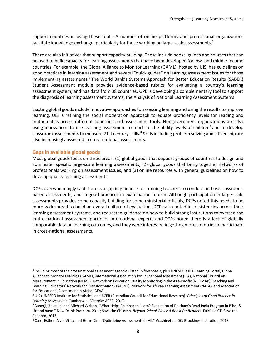support countries in using these tools. A number of online platforms and professional organizations facilitate knowledge exchange, particularly for those working on large-scale assessments.<sup>5</sup>

There are also initiatives that support capacity building. These include books, guides and courses that can be used to build capacity for learning assessments that have been developed for low- and middle-income countries. For example, the Global Alliance to Monitor Learning (GAML), hosted by UIS, has guidelines on good practices in learning assessment and several "quick guides" on learning assessment issues for those implementing assessments.<sup>6</sup> The World Bank's Systems Approach for Better Education Results (SABER) Student Assessment module provides evidence-based rubrics for evaluating a country's learning assessment system, and has data from 38 countries. GPE is developing a complementary tool to support the diagnosis of learning assessment systems, the Analysis of National Learning Assessment Systems.

Existing global goods include innovative approaches to assessing learning and using the results to improve learning. UIS is refining the social moderation approach to equate proficiency levels for reading and mathematics across different countries and assessment tools. Nongovernment organizations are also using innovations to use learning assessment to teach to the ability levels of children<sup>7</sup> and to develop classroom assessments to measure 21st century skills.<sup>8</sup> Skills including problem solving and citizenship are also increasingly assessed in cross-national assessments.

#### **Gaps in available global goods**

 $\overline{a}$ 

Most global goods focus on three areas: (1) global goods that support groups of countries to design and administer specific large-scale learning assessments, (2) global goods that bring together networks of professionals working on assessment issues, and (3) online resources with general guidelines on how to develop quality learning assessments.

DCPs overwhelmingly said there is a gap in guidance for training teachers to conduct and use classroombased assessments, and in good practices in examination reform. Although participation in large-scale assessments provides some capacity building for some ministerial officials, DCPs noted this needs to be more widespread to build an overall culture of evaluation. DCPs also noted inconsistencies across their learning assessment systems, and requested guidance on how to build strong institutions to oversee the entire national assessment portfolio. International experts and DCPs noted there is a lack of globally comparable data on learning outcomes, and they were interested in getting more countries to participate in cross-national assessments.

<sup>&</sup>lt;sup>5</sup> Including most of the cross-national assessment agencies listed in footnote 3, plus UNESCO's IIEP Learning Portal, Global Alliance to Monitor Learning (GAML), International Association for Educational Assessment (IEA), National Council on Measurement in Education (NCME), Network on Education Quality Monitoring in the Asia-Pacific (NEQMAP), Teaching and Learning: Educators' Network for Transformation (TALENT), Network for African Learning Assessment (NALA), and Association for Educational Assessment in Africa (AEAA).

<sup>6</sup> UIS (UNESCO Institute for Statistics) and ACER (Australian Council for Educational Research). *Principles of Good Practice in Learning Assessment*. Camberwell, Victoria: ACER, 2017.

<sup>7</sup> Banerji, Rukmini, and Michael Walton. "What Helps Children to Learn? Evaluation of Pratham's Read India Program in Bihar & Uttarakhand." New Delhi: Pratham, 2011; Save the Children. *Beyond School Walls: A Boost for Readers*. Fairfield CT: Save the Children, 2013.

<sup>8</sup> Care, Esther, Alvin Vista, and Helyn Kim. "Optimizing Assessment for All." Washington, DC: Brookings Institution, 2018.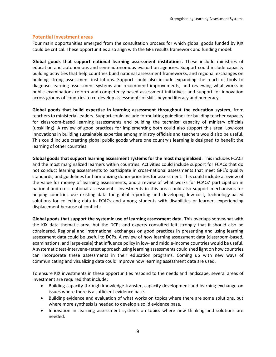#### **Potential investment areas**

Four main opportunities emerged from the consultation process for which global goods funded by KIX could be critical. These opportunities also align with the GPE results framework and funding model:

**Global goods that support national learning assessment institutions.** These include ministries of education and autonomous and semi-autonomous evaluation agencies. Support could include capacity building activities that help countries build national assessment frameworks, and regional exchanges on building strong assessment institutions. Support could also include expanding the reach of tools to diagnose learning assessment systems and recommend improvements, and reviewing what works in public examinations reform and competency-based assessment initiatives, and support for innovation across groups of countries to co-develop assessments of skills beyond literacy and numeracy.

**Global goods that build expertise in learning assessment throughout the education system**, from teachers to ministerial leaders. Support could include formulating guidelines for building teacher capacity for classroom-based learning assessments and building the technical capacity of ministry officials (upskilling). A review of good practices for implementing both could also support this area. Low-cost innovations in building sustainable expertise among ministry officials and teachers would also be useful. This could include creating global public goods where one country's learning is designed to benefit the learning of other countries.

**Global goods that support learning assessment systems for the most marginalized**. This includes FCACs and the most marginalized learners within countries. Activities could include support for FCACs that do not conduct learning assessments to participate in cross-national assessments that meet GPE's quality standards, and guidelines for harmonizing donor priorities for assessment. This could include a review of the value for money of learning assessments, and a review of what works for FCACs' participation in national and cross-national assessments. Investments in this area could also support mechanisms for helping countries use existing data for global reporting and developing low-cost, technology-based solutions for collecting data in FCACs and among students with disabilities or learners experiencing displacement because of conflicts.

**Global goods that support the systemic use of learning assessment data**. This overlaps somewhat with the KIX data thematic area, but the DCPs and experts consulted felt strongly that it should also be considered. Regional and international exchanges on good practices in presenting and using learning assessment data could be useful to DCPs. A review of how learning assessment data (classroom-based, examinations, and large-scale) that influence policy in low- and middle-income countries would be useful. A systematic test-intervene-retest approach using learning assessments could shed light on how countries can incorporate these assessments in their education programs. Coming up with new ways of communicating and visualizing data could improve how learning assessment data are used.

To ensure KIX investments in these opportunities respond to the needs and landscape, several areas of investment are required that include:

- Building capacity through knowledge transfer, capacity development and learning exchange on issues where there is a sufficient evidence base.
- Building evidence and evaluation of what works on topics where there are some solutions, but where more synthesis is needed to develop a solid evidence base.
- Innovation in learning assessment systems on topics where new thinking and solutions are needed.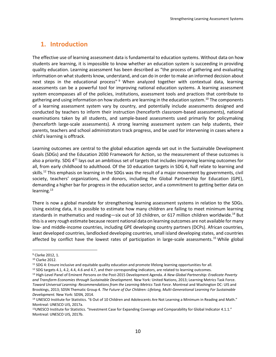## **1. Introduction**

The effective use of learning assessment data is fundamental to education systems. Without data on how students are learning, it is impossible to know whether an education system is succeeding in providing quality education. Learning assessment has been described as "the process of gathering and evaluating information on what students know, understand, and can do in order to make an informed decision about next steps in the educational process"<sup>9</sup> When analyzed together with contextual data, learning assessments can be a powerful tool for improving national education systems. A learning assessment system encompasses all of the policies, institutions, assessment tools and practices that contribute to gathering and using information on how students are learning in the education system.<sup>10</sup> The components of a learning assessment system vary by country, and potentially include assessments designed and conducted by teachers to inform their instruction (henceforth classroom-based assessments), national examinations taken by all students, and sample-based assessments used primarily for policymaking (henceforth large-scale assessments). A strong learning assessment system can help students, their parents, teachers and school administrators track progress, and be used for intervening in cases where a child's learning is offtrack.

Learning outcomes are central to the global education agenda set out in the Sustainable Development Goals (SDGs) and the Education 2030 Framework for Action, so the measurement of these outcomes is also a priority. SDG 4<sup>11</sup> lays out an ambitious set of targets that includes improving learning outcomes for all, from early childhood to adulthood. Of the 10 education targets in SDG 4, half relate to learning and skills.<sup>12</sup> This emphasis on learning in the SDGs was the result of a major movement by governments, civil society, teachers' organizations, and donors, including the Global Partnership for Education (GPE), demanding a higher bar for progress in the education sector, and a commitment to getting better data on learning.<sup>13</sup>

There is now a global mandate for strengthening learning assessment systems in relation to the SDGs. Using existing data, it is possible to estimate how many children are failing to meet minimum learning standards in mathematics and reading—six out of 10 children, or 617 million children worldwide.<sup>14</sup> But this is a very rough estimate because recent national data on learning outcomes are not available for many low- and middle-income countries, including GPE developing country partners (DCPs). African countries, least developed countries, landlocked developing countries, small island developing states, and countries affected by conflict have the lowest rates of participation in large-scale assessments.<sup>15</sup> While global

<sup>9</sup> Clarke 2012, 1.

<sup>10</sup> Clarke 2012.

<sup>11</sup> SDG 4: Ensure inclusive and equitable quality education and promote lifelong learning opportunities for all.

<sup>&</sup>lt;sup>12</sup> SDG targets 4.1, 4.2, 4.4, 4.6 and 4.7, and their corresponding indicators, are related to learning outcomes.

<sup>13</sup> High-Level Panel of Eminent Persons on the Post-2015 Development Agenda. *A New Global Partnership: Eradicate Poverty and Transform Economies through Sustainable Development.* New York: United Nations, 2013; Learning Metrics Task Force. *Toward Universal Learning: Recommendations from the Learning Metrics Task Force*. Montreal and Washington DC: UIS and Brookings, 2013; SDSN Thematic Group 4. *The Future of Our Children: Lifelong, Multi-Generational Learning For Sustainable Development.* New York: SDSN, 2014.

<sup>&</sup>lt;sup>14</sup> UNESCO Institute for Statistics. "6 Out of 10 Children and Adolescents Are Not Learning a Minimum in Reading and Math." Montreal: UNESCO UIS, 2017a.

<sup>15</sup>UNESCO Institute for Statistics. "Investment Case for Expanding Coverage and Comparability for Global Indicator 4.1.1." Montreal: UNESCO UIS, 2017b.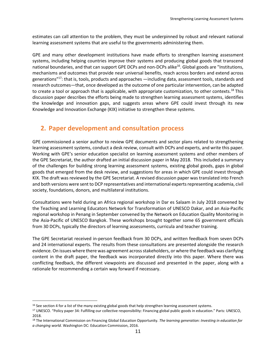estimates can call attention to the problem, they must be underpinned by robust and relevant national learning assessment systems that are useful to the governments administering them.

GPE and many other development institutions have made efforts to strengthen learning assessment systems, including helping countries improve their systems and producing global goods that transcend national boundaries, and that can support GPE DCPs and non-DCPs alike<sup>16</sup>. Global goods are "Institutions, mechanisms and outcomes that provide near universal benefits, reach across borders and extend across generations"<sup>17</sup>: that is, tools, products and approaches —including data, assessment tools, standards and research outcomes—that, once developed as the outcome of one particular intervention, can be adapted to create a tool or approach that is applicable, with appropriate customization, to other contexts.<sup>18</sup> This discussion paper describes the efforts being made to strengthen learning assessment systems, identifies the knowledge and innovation gaps, and suggests areas where GPE could invest through its new Knowledge and Innovation Exchange (KIX) initiative to strengthen these systems.

## **2. Paper development and consultation process**

GPE commissioned a senior author to review GPE documents and sector plans related to strengthening learning assessment systems, conduct a desk review, consult with DCPs and experts, and write this paper. Working with GPE's senior education specialist on learning assessment systems and other members of the GPE Secretariat, the author drafted an initial discussion paper in May 2018. This included a summary of the challenges for building strong learning assessment systems, existing global goods, gaps in global goods that emerged from the desk review, and suggestions for areas in which GPE could invest through KIX. The draft was reviewed by the GPE Secretariat. A revised discussion paper was translated into French and both versions were sent to DCP representatives and international experts representing academia, civil society, foundations, donors, and multilateral institutions.

Consultations were held during an Africa regional workshop in Dar es Salaam in July 2018 convened by the Teaching and Learning Educators Network for Transformation of UNESCO Dakar, and an Asia-Pacific regional workshop in Penang in September convened by the Network on Education Quality Monitoring in the Asia-Pacific of UNESCO Bangkok. These workshops brought together some 65 government officials from 30 DCPs, typically the directors of learning assessments, curricula and teacher training.

The GPE Secretariat received in-person feedback from 30 DCPs, and written feedback from seven DCPs and 24 international experts. The results from these consultations are presented alongside the research evidence. On issues where there was agreement across stakeholders, or where the feedback was clarifying content in the draft paper, the feedback was incorporated directly into this paper. Where there was conflicting feedback, the different viewpoints are discussed and presented in the paper, along with a rationale for recommending a certain way forward if necessary.

<sup>&</sup>lt;sup>16</sup> See section 4 for a list of the many existing global goods that help strengthen learning assessment systems.

<sup>17</sup> UNESCO. "Policy paper 34: Fulfilling our collective responsibility: Financing global public goods in education." Paris: UNESCO, 2018.

<sup>18</sup> The International Commission on Financing Global Education Opportunity. *The learning generation: Investing in education for a changing world.* Washington DC: Education Commission, 2016.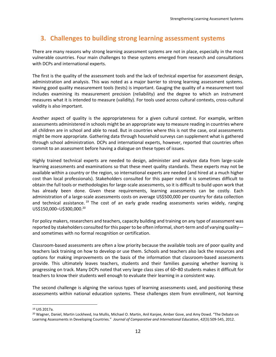## **3. Challenges to building strong learning assessment systems**

There are many reasons why strong learning assessment systems are not in place, especially in the most vulnerable countries. Four main challenges to these systems emerged from research and consultations with DCPs and international experts.

The first is the quality of the assessment tools and the lack of technical expertise for assessment design, administration and analysis. This was noted as a major barrier to strong learning assessment systems. Having good quality measurement tools (tests) is important. Gauging the quality of a measurement tool includes examining its measurement precision (reliability) and the degree to which an instrument measures what it is intended to measure (validity). For tools used across cultural contexts, cross-cultural validity is also important.

Another aspect of quality is the appropriateness for a given cultural context. For example, written assessments administered in schools might be an appropriate way to measure reading in countries where all children are in school and able to read. But in countries where this is not the case, oral assessments might be more appropriate. Gathering data through household surveys can supplement what is gathered through school administration. DCPs and international experts, however, reported that countries often commit to an assessment before having a dialogue on these types of issues.

Highly trained technical experts are needed to design, administer and analyze data from large-scale learning assessments and examinations so that these meet quality standards. These experts may not be available within a country or the region, so international experts are needed (and hired at a much higher cost than local professionals). Stakeholders consulted for this paper noted it is sometimes difficult to obtain the full tools or methodologies for large-scale assessments, so it is difficult to build upon work that has already been done. Given these requirements, learning assessments can be costly. Each administration of a large-scale assessments costs on average US\$500,000 per country for data collection and technical assistance.<sup>19</sup> The cost of an early grade reading assessments varies widely, ranging US\$150,000–U\$300,000. 20

For policy makers, researchers and teachers, capacity building and training on any type of assessment was reported by stakeholders consulted for this paper to be often informal, short-term and of varying quality and sometimes with no formal recognition or certification.

Classroom-based assessments are often a low priority because the available tools are of poor quality and teachers lack training on how to develop or use them. Schools and teachers also lack the resources and options for making improvements on the basis of the information that classroom-based assessments provide. This ultimately leaves teachers, students and their families guessing whether learning is progressing on track. Many DCPs noted that very large class sizes of 60–80 students makes it difficult for teachers to know their students well enough to evaluate their learning in a consistent way.

The second challenge is aligning the various types of learning assessments used, and positioning these assessments within national education systems. These challenges stem from enrollment, not learning

<sup>19</sup> UIS 2017a.

<sup>&</sup>lt;sup>20</sup> Wagner, Daniel, Martin Lockheed, Ina Mullis, Michael O. Martin, Anil Kanjee, Amber Gove, and Amy Dowd. "The Debate on Learning Assessments in Developing Countries." *Journal of Comparative and International Education*, *42*(3):509-545, 2012.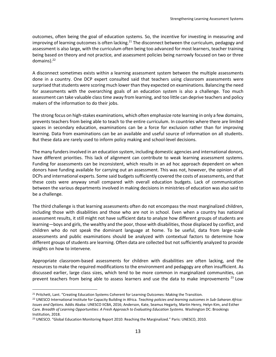outcomes, often being the goal of education systems. So, the incentive for investing in measuring and improving of learning outcomes is often lacking.<sup>21</sup> The disconnect between the curriculum, pedagogy and assessment is also large, with the curriculum often being too advanced for most learners, teacher training being based on theory and not practice, and assessment policies being narrowly focused on two or three domains).<sup>22</sup>

A disconnect sometimes exists within a learning assessment system between the multiple assessments done in a country. One DCP expert consulted said that teachers using classroom assessments were surprised that students were scoring much lower than they expected on examinations. Balancing the need for assessments with the overarching goals of an education system is also a challenge. Too much assessment can take valuable class time away from learning, and too little can deprive teachers and policy makers of the information to do their jobs.

The strong focus on high-stakes examinations, which often emphasize rote learning in only a few domains, prevents teachers from being able to teach to the entire curriculum. In countries where there are limited spaces in secondary education, examinations can be a force for exclusion rather than for improving learning. Data from examinations can be an available and useful source of information on all students. But these data are rarely used to inform policy making and school-level decisions.

The many funders involved in an education system, including domestic agencies and international donors, have different priorities. This lack of alignment can contribute to weak learning assessment systems. Funding for assessments can be inconsistent, which results in an ad hoc approach dependent on when donors have funding available for carrying out an assessment. This was not, however, the opinion of all DCPs and international experts. Some said budgets sufficiently covered the costs of assessments, and that these costs were anyway small compared with overall education budgets. Lack of communication between the various departments involved in making decisions in ministries of education was also said to be a challenge.

The third challenge is that learning assessments often do not encompass the most marginalized children, including those with disabilities and those who are not in school. Even when a country has national assessment results, it still might not have sufficient data to analyze how different groups of students are learning—boys and girls, the wealthy and the poor, those with disabilities, those displaced by conflict, and children who do not speak the dominant language at home. To be useful, data from large-scale assessments and public examinations should be analyzed with contextual factors to determine how different groups of students are learning. Often data are collected but not sufficiently analyzed to provide insights on how to intervene.

Appropriate classroom-based assessments for children with disabilities are often lacking, and the resources to make the required modifications to the environment and pedagogy are often insufficient. As discussed earlier, large class sizes, which tend to be more common in marginalized communities, can prevent teachers from being able to assess learners and use the data to make improvements<sup>23</sup> Low

<sup>&</sup>lt;sup>21</sup> Pritchett, Lant. "Creating Education Systems Coherent for Learning Outcomes: Making the Transition.

<sup>22</sup> UNESCO International Institute for Capacity Building in Africa. *Teaching policies and learning outcomes in Sub-Saharan Africa: Issues and Options.* Addis Ababa: UNESCO IICBA, 2016; Anderson, Kate, Seamus Hegarty, Martin Henry, Helyn Kim, and Esther Care. *Breadth of Learning Opportunities: A Fresh Approach to Evaluating Education Systems.* Washington DC: Brookings Institution, 2018.

<sup>23</sup> UNESCO. "Global Education Monitoring Report 2010: Reaching the Marginalized." Paris: UNESCO, 2010.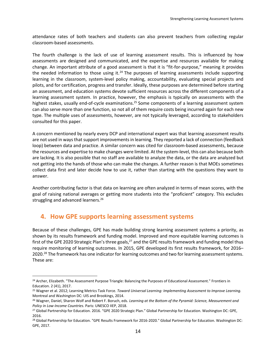attendance rates of both teachers and students can also prevent teachers from collecting regular classroom-based assessments.

The fourth challenge is the lack of use of learning assessment results. This is influenced by how assessments are designed and communicated, and the expertise and resources available for making change. An important attribute of a good assessment is that it is "fit-for-purpose," meaning it provides the needed information to those using it. $24$  The purposes of learning assessments include supporting learning in the classroom, system-level policy making, accountability, evaluating special projects and pilots, and for certification, progress and transfer. Ideally, these purposes are determined before starting an assessment, and education systems devote sufficient resources across the different components of a learning assessment system. In practice, however, the emphasis is typically on assessments with the highest stakes, usually end-of-cycle examinations.<sup>25</sup> Some components of a learning assessment system can also serve more than one function, so not all of them require costs being incurred again for each new type. The multiple uses of assessments, however, are not typically leveraged, according to stakeholders consulted for this paper.

A concern mentioned by nearly every DCP and international expert was that learning assessment results are not used in waysthat support improvements in learning. They reported a lack of connection (feedback loop) between data and practice. A similar concern was cited for classroom-based assessments, because the resources and expertise to make changes were limited. At the system-level, this can also because both are lacking. It is also possible that no staff are available to analyze the data, or the data are analyzed but not getting into the hands of those who can make the changes. A further reason is that MOEs sometimes collect data first and later decide how to use it, rather than starting with the questions they want to answer.

Another contributing factor is that data on learning are often analyzed in terms of mean scores, with the goal of raising national averages or getting more students into the "proficient" category. This excludes struggling and advanced learners. 26

## **4. How GPE supports learning assessment systems**

 $\overline{a}$ 

Because of these challenges, GPE has made building strong learning assessment systems a priority, as shown by its results framework and funding model. Improved and more equitable learning outcomes is first of the GPE 2020 Strategic Plan's three goals,<sup>27</sup> and the GPE results framework and funding model thus require monitoring of learning outcomes. In 2015, GPE developed its first results framework, for 2016– 2020.<sup>28</sup> The framework has one indicator for learning outcomes and two for learning assessment systems. These are:

<sup>&</sup>lt;sup>24</sup> Archer, Elizabeth. "The Assessment Purpose Triangle: Balancing the Purposes of Educational Assessment." Frontiers in Education. 2 (41), 2017.

<sup>25</sup> Wagner et al. 2012; Learning Metrics Task Force. *Toward Universal Learning: Implementing Assessment to Improve Learning.* Montreal and Washington DC: UIS and Brookings, 2014.

<sup>26</sup> Wagner, Daniel, Sharon Wolf and Robert F. Boruch, eds. *Learning at the Bottom of the Pyramid: Science, Measurement and Policy in Low-Income Countries.* Paris: UNESCO IIEP, 2018.

<sup>27</sup> Global Partnership for Education. 2016. "GPE 2020 Strategic Plan." Global Partnership for Education. Washington DC: GPE, 2016.

<sup>&</sup>lt;sup>28</sup> Global Partnership for Education. "GPE Results Framework for 2016-2020." Global Partnership for Education. Washington DC: GPE, 2017.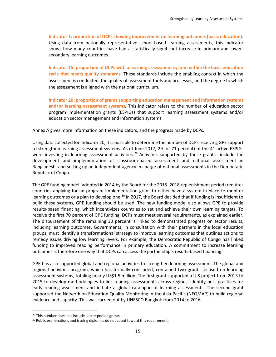**Indicator 1: proportion of DCPs showing improvement on learning outcomes (basic education).** Using data from nationally representative school-based learning assessments, this indicator shows how many countries have had a statistically significant increase in primary and lowersecondary learning outcomes.

**Indicator 15: proportion of DCPs with a learning assessment system within the basic education cycle that meets quality standards***.* These standards include the enabling context in which the assessment is conducted, the quality of assessment tools and processes, and the degree to which the assessment is aligned with the national curriculum.

**Indicator 20: proportion of grants supporting education management and information systems and/or learning assessment systems***.* This indicator refers to the number of education sector program implementation grants (ESPIGs) that support learning assessment systems and/or education sector management and information systems.

Annex A gives more information on these indicators, and the progress made by DCPs.

Using data collected for indicator 20, it is possible to determine the number of DCPs receiving GPE support to strengthen learning assessment systems. As of June 2017, 29 (or 71 percent) of the 41 active ESPIGs were investing in learning assessment activities.<sup>29</sup> Activities supported by these grants include the development and implementation of classroom-based assessment and national assessment in Bangladesh, and setting up an independent agency in charge of national assessments in the Democratic Republic of Congo.

The GPE funding model (adopted in 2014 by the Board for the 2015–2018 replenishment period) requires countries applying for an program implementation grant to either have a system in place to monitor learning outcomes or a plan to develop one.<sup>30</sup> In 2017, the Board decided that if funding is insufficient to build these systems, GPE funding should be used. The new funding model also allows GPE to provide results-based financing, which incentivizes countries to set and achieve their own learning targets. To receive the first 70 percent of GPE funding, DCPs must meet several requirements, as explained earlier. The disbursement of the remaining 30 percent is linked to demonstrated progress on sector results, including learning outcomes. Governments, in consultation with their partners in the local education groups, must identify a transformational strategy to improve learning outcomes that outlines actions to remedy issues driving low learning levels. For example, the Democratic Republic of Congo has linked funding to improved reading performance in primary education. A commitment to increase learning outcomes is therefore one way that DCPs can access the partnership's results-based financing.

GPE has also supported global and regional activities to strengthen learning assessment. The global and regional activities program, which has formally concluded, contained two grants focused on learning assessment systems, totaling nearly US\$1.5 million. The first grant supported a UIS project from 2013 to 2015 to develop methodologies to link reading assessments across regions, identify best practices for early reading assessment and initiate a global catalogue of learning assessments. The second grant supported the Network on Education Quality Monitoring in the Asia-Pacific (NEQMAP) to build regional evidence and capacity. This was carried out by UNESCO Bangkok from 2014 to 2016.

<sup>&</sup>lt;sup>29</sup> This number does not include sector pooled grants.

<sup>&</sup>lt;sup>30</sup> Public examinations and issuing diplomas do not count toward this requirement.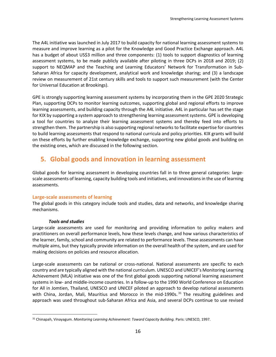The A4L initiative was launched in July 2017 to build capacity for national learning assessment systems to measure and improve learning as a pilot for the Knowledge and Good Practice Exchange approach. A4L has a budget of about US\$3 million and three components: (1) tools to support diagnostics of learning assessment systems, to be made publicly available after piloting in three DCPs in 2018 and 2019; (2) support to NEQMAP and the Teaching and Learning Educators' Network for Transformation in Sub-Saharan Africa for capacity development, analytical work and knowledge sharing; and (3) a landscape review on measurement of 21st century skills and tools to support such measurement (with the Center for Universal Education at Brookings).

GPE is strongly supporting learning assessment systems by incorporating them in the GPE 2020 Strategic Plan, supporting DCPs to monitor learning outcomes, supporting global and regional efforts to improve learning assessments, and building capacity through the A4L initiative. A4L in particular has set the stage for KIX by supporting a system approach to strengthening learning assessment systems. GPE is developing a tool for countries to analyze their learning assessment systems and thereby feed into efforts to strengthen them. The partnership is also supporting regional networks to facilitate expertise for countries to build learning assessments that respond to national curricula and policy priorities. KIX grants will build on these efforts by further enabling knowledge exchange, supporting new global goods and building on the existing ones, which are discussed in the following section.

## **5. Global goods and innovation in learning assessment**

Global goods for learning assessment in developing countries fall in to three general categories: largescale assessments of learning, capacity building tools and initiatives, and innovations in the use of learning assessments.

#### **Large-scale assessments of learning**

The global goods in this category include tools and studies, data and networks, and knowledge sharing mechanisms.

#### *Tools and studies*

 $\overline{a}$ 

Large-scale assessments are used for monitoring and providing information to policy makers and practitioners on overall performance levels, how these levels change, and how various characteristics of the learner, family, school and community are related to performance levels. These assessments can have multiple aims, but they typically provide information on the overall health of the system, and are used for making decisions on policies and resource allocation.

Large-scale assessments can be national or cross-national. National assessments are specific to each country and are typically aligned with the national curriculum. UNESCO and UNICEF's Monitoring Learning Achievement (MLA) initiative was one of the first global goods supporting national learning assessment systems in low- and middle-income countries. In a follow-up to the 1990 World Conference on Education for All in Jomtien, Thailand, UNESCO and UNICEF piloted an approach to develop national assessments with China, Jordan, Mali, Mauritius and Morocco in the mid-1990s.<sup>31</sup> The resulting guidelines and approach was used throughout sub-Saharan Africa and Asia, and several DCPs continue to use revised

<sup>31</sup> Chinapah, Vinayagum. *Monitoring Learning Achievement: Toward Capacity Building.* Paris: UNESCO, 1997.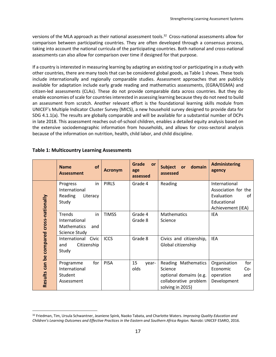versions of the MLA approach as their national assessment tools.<sup>32</sup> Cross-national assessments allow for comparison between participating countries. They are often developed through a consensus process, taking into account the national curricula of the participating countries. Both national and cross-national assessments can also allow for comparison over time if designed for that purpose.

If a country is interested in measuring learning by adapting an existing tool or participating in a study with other countries, there are many tools that can be considered global goods, as Table 1 shows. These tools include internationally and regionally comparable studies. Assessment approaches that are publicly available for adaptation include early grade reading and mathematics assessments, (EGRA/EGMA) and citizen-led assessments (CLAs). These do not provide comparable data across countries. But they do enable economies of scale for countries interested in assessing learning because they do not need to build an assessment from scratch. Another relevant effort is the foundational learning skills module from UNICEF's Multiple Indicator Cluster Survey (MICS), a new household survey designed to provide data for SDG 4.1.1(a). The results are globally comparable and will be available for a substantial number of DCPs in late 2018. This assessment reaches out-of-school children, enables a detailed equity analysis based on the extensive sociodemographic information from households, and allows for cross-sectoral analysis because of the information on nutrition, health, child labor, and child discipline.

|                                          | <b>of</b><br><b>Name</b><br><b>Assessment</b>                                             | <b>Acronym</b> | Grade<br><b>or</b><br>age<br>assessed | <b>Subject</b><br>domain<br><b>or</b><br>assessed                                                     | <b>Administering</b><br>agency                                                               |
|------------------------------------------|-------------------------------------------------------------------------------------------|----------------|---------------------------------------|-------------------------------------------------------------------------------------------------------|----------------------------------------------------------------------------------------------|
|                                          | in<br>Progress<br>International<br>Reading<br>Literacy<br>Study                           | <b>PIRLS</b>   | Grade 4                               | Reading                                                                                               | International<br>Association for the<br>Evaluation<br>of<br>Educational<br>Achievement (IEA) |
|                                          | <b>Trends</b><br>in<br>International<br><b>Mathematics</b><br>and<br><b>Science Study</b> | <b>TIMSS</b>   | Grade 4<br>Grade 8                    | <b>Mathematics</b><br>Science                                                                         | <b>IEA</b>                                                                                   |
|                                          | International<br>Civic<br>Citizenship<br>and<br>Study                                     | <b>ICCS</b>    | Grade 8                               | Civics and citizenship,<br>Global citizenship                                                         | <b>IEA</b>                                                                                   |
| Results can be compared cross-nationally | for<br>Programme<br>International<br>Student<br>Assessment                                | <b>PISA</b>    | 15<br>year-<br>olds                   | Reading Mathematics<br>Science<br>optional domains (e.g.<br>collaborative problem<br>solving in 2015) | for<br>Organisation<br>Economic<br>$Co-$<br>operation<br>and<br>Development                  |

#### **Table 1: Multicountry Learning Assessments**

<sup>32</sup> Friedman, Tim, Ursula Schwantner, Jeaniene Spink, Naoko Tabata, and Charlotte Waters. *Improving Quality Education and Children's Learning Outcomes and Effective Practices in the Eastern and Southern Africa Region.* Nairobi: UNICEF ESARO, 2016.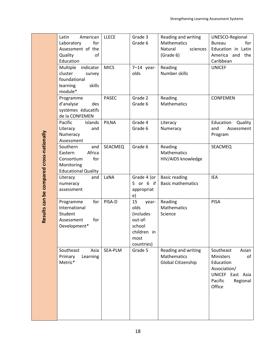|                                          | Latin<br>American                    | <b>LLECE</b> | Grade 3           | Reading and writing      | UNESCO-Regional      |
|------------------------------------------|--------------------------------------|--------------|-------------------|--------------------------|----------------------|
|                                          | Laboratory<br>for                    |              | Grade 6           | Mathematics              | <b>Bureau</b><br>for |
|                                          | Assessment of the                    |              |                   | Natural<br>sciences      | Education in Latin   |
|                                          | Quality<br>of                        |              |                   | (Grade 6)                | the<br>America and   |
|                                          | Education                            |              |                   |                          | Caribbean            |
|                                          | Multiple<br>indicator                | <b>MICS</b>  | $7-14$ year-      | Reading                  | <b>UNICEF</b>        |
|                                          | cluster<br>survey                    |              | olds              | Number skills            |                      |
|                                          | foundational                         |              |                   |                          |                      |
|                                          | skills<br>learning                   |              |                   |                          |                      |
|                                          | module*                              |              |                   |                          |                      |
|                                          | Programme                            | <b>PASEC</b> | Grade 2           | Reading                  | <b>CONFEMEN</b>      |
|                                          | d'analyse<br>des                     |              | Grade 6           | Mathematics              |                      |
|                                          | systèmes éducatifs<br>de la CONFEMEN |              |                   |                          |                      |
|                                          | Pacific<br>Islands                   | PILNA        | Grade 4           | Literacy                 | Education<br>Quality |
|                                          | and<br>Literacy                      |              | Grade 6           | Numeracy                 | Assessment<br>and    |
|                                          | Numeracy                             |              |                   |                          | Program              |
|                                          | Assessment                           |              |                   |                          |                      |
|                                          | Southern<br>and                      | SEACMEQ      | Grade 6           | Reading                  | SEACMEQ              |
|                                          | Africa<br>Eastern                    |              |                   | Mathematics              |                      |
|                                          | for<br>Consortium                    |              |                   | HIV/AIDS knowledge       |                      |
|                                          | Monitoring                           |              |                   |                          |                      |
|                                          | <b>Educational Quality</b>           |              |                   |                          |                      |
|                                          | Literacy<br>and                      | LaNA         | Grade 4 (or       | <b>Basic reading</b>     | <b>IEA</b>           |
|                                          | numeracy                             |              | 5 or 6 if         | <b>Basic mathematics</b> |                      |
|                                          | assessment                           |              | appropriat        |                          |                      |
| Results can be compared cross-nationally |                                      |              | e)                |                          |                      |
|                                          | Programme<br>for                     | PISA-D       | 15<br>year-       | Reading                  | <b>PISA</b>          |
|                                          | International                        |              | olds              | Mathematics              |                      |
|                                          | Student                              |              | (includes         | Science                  |                      |
|                                          | for<br>Assessment                    |              | out-of-<br>school |                          |                      |
|                                          | Development*                         |              | children in       |                          |                      |
|                                          |                                      |              | most              |                          |                      |
|                                          |                                      |              | countries)        |                          |                      |
|                                          | Southeast<br>Asia                    | SEA-PLM      | Grade 5           | Reading and writing      | Southeast<br>Asian   |
|                                          | Primary<br>Learning                  |              |                   | Mathematics              | Ministers<br>of      |
|                                          | Metric*                              |              |                   | Global Citizenship       | Education            |
|                                          |                                      |              |                   |                          | Association/         |
|                                          |                                      |              |                   |                          | UNICEF East Asia     |
|                                          |                                      |              |                   |                          | Pacific<br>Regional  |
|                                          |                                      |              |                   |                          | Office               |
|                                          |                                      |              |                   |                          |                      |
|                                          |                                      |              |                   |                          |                      |
|                                          |                                      |              |                   |                          |                      |
|                                          |                                      |              |                   |                          |                      |
|                                          |                                      |              |                   |                          |                      |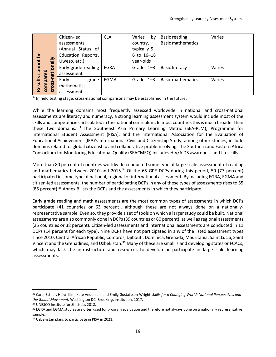|                   |                  | Citizen-led         | <b>CLA</b>  | Varies<br>by | <b>Basic reading</b>     | Varies |
|-------------------|------------------|---------------------|-------------|--------------|--------------------------|--------|
|                   | ationally        | assessments         |             | country,     | <b>Basic mathematics</b> |        |
|                   |                  | (Annual Status of   |             | typically 5- |                          |        |
|                   |                  | Education Reports,  |             | 6 to 16-18   |                          |        |
| Results cannot be |                  | Uwezo, etc.)        |             | year-olds    |                          |        |
|                   |                  | Early grade reading | <b>EGRA</b> | Grades 1-3   | <b>Basic literacy</b>    | Varies |
|                   | red              | assessment          |             |              |                          |        |
|                   | 0SS-N<br>reduros | Early<br>grade      | EGMA        | Grades 1-3   | <b>Basic mathematics</b> | Varies |
|                   |                  | mathematics         |             |              |                          |        |
|                   | δ                | assessment          |             |              |                          |        |

\* In field testing stage; cross-national comparisons may be established in the future.

While the learning domains most frequently assessed worldwide in national and cross-national assessments are literacy and numeracy, a strong learning assessment system would include most of the skills and competencies articulated in the national curriculum. In most countries this is much broader than these two domains.<sup>33</sup> The Southeast Asia Primary Learning Metric (SEA-PLM), Programme for International Student Assessment (PISA), and the International Association for the Evaluation of Educational Achievement (IEA)'s International Civic and Citizenship Study, among other studies, include domains related to global citizenship and collaborative problem solving. The Southern and Eastern Africa Consortium for Monitoring Educational Quality (SEACMEQ) includes HIV/AIDS awareness and life skills.

More than 80 percent of countries worldwide conducted some type of large-scale assessment of reading and mathematics between 2010 and 2015. $34$  Of the 65 GPE DCPs during this period, 50 (77 percent) participated in some type of national, regional or international assessment. By including EGRA, EGMA and citizen-led assessments, the number of participating DCPs in any of these types of assessments rises to 55  $(85$  percent).<sup>35</sup> Annex B lists the DCPs and the assessments in which they participate.

Early grade reading and math assessments are the most common types of assessments in which DCPs participate (41 countries or 63 percent), although these are not always done on a nationallyrepresentative sample. Even so, they provide a set of tools on which a larger study could be built. National assessments are also commonly done in DCPs (39 countries or 60 percent), as well as regional assessments (25 countries or 38 percent). Citizen-led assessments and international assessments are conducted in 11 DCPs (14 percent for each type). Nine DCPs have not participated in any of the listed assessment types since 2010: Central African Republic, Comoros, Djibouti, Dominica, Grenada, Mauritania, Saint Lucia, Saint Vincent and the Grenadines, and Uzbekistan.<sup>36</sup> Many of these are small island developing states or FCACs, which may lack the infrastructure and resources to develop or participate in large-scale learning assessments.

<sup>33</sup> Care, Esther, Helyn Kim, Kate Anderson, and Emily Gustafsson-Wright. *Skills for a Changing World: National Perspectives and the Global Movement.* Washington DC: Brookings Institution, 2017.

<sup>34</sup> UNESCO Institute for Statistics 2018.

<sup>&</sup>lt;sup>35</sup> EGRA and EGMA studies are often used for program evaluation and therefore not always done on a nationally representative sample.

<sup>36</sup> Uzbekistan plans to participate in PISA in 2021.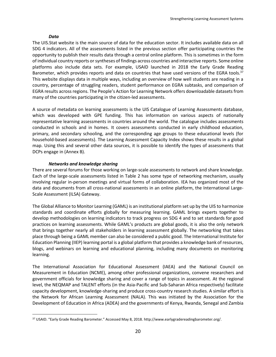#### *Data*

 $\overline{a}$ 

The [UIS.Stat](http://data.uis.unesco.org/) website is the main source of data for the education sector. It includes available data on all SDG 4 indicators. All of the assessments listed in the previous section offer participating countries the opportunity to publish their results data through a central online platform. This is sometimes in the form of individual country reports or syntheses of findings across countries and interactive reports. Some online platforms also include data sets. For example, USAID launched in 2018 the Early Grade Reading Barometer, which provides reports and data on countries that have used versions of the EGRA tools.<sup>37</sup> This website displays data in multiple ways, including an overview of how well students are reading in a country, percentage of struggling readers, student performance on EGRA subtasks, and comparison of EGRA results across regions. The People's Action for Learning Network offers downloadable datasets from many of the countries participating in the citizen-led assessments.

A source of metadata on learning assessments is the UIS Catalogue of Learning Assessments database, which was developed with GPE funding. This has information on various aspects of nationally representative learning assessments in countries around the world. The catalogue includes assessments conducted in schools and in homes. It covers assessments conducted in early childhood education, primary, and secondary schooling, and the corresponding age groups to these educational levels (for household-based assessments). The Learning Assessment Capacity Index shows these results in a global map. Using this and several other data sources, it is possible to identify the types of assessments that DCPs engage in (Annex B).

#### *Networks and knowledge sharing*

There are several forums for those working on large-scale assessments to network and share knowledge. Each of the large-scale assessments listed in Table 2 has some type of networking mechanism, usually involving regular in-person meetings and virtual forms of collaboration. IEA has organized most of the data and documents from all cross-national assessments in an online platform, the International Large-Scale Assessment (ILSA) Gateway.

The Global Alliance to Monitor Learning (GAML) is an institutional platform set up by the UIS to harmonize standards and coordinate efforts globally for measuring learning. GAML brings experts together to develop methodologies on learning indicators to track progress on SDG 4 and to set standards for good practices on learning assessments. While GAML's products are global goods, it is also the only network that brings together nearly all stakeholders in learning assessment globally. The networking that takes place through being a GAML member can also be considered a public good. The International Institute for Education Planning (IIEP) learning portal is a global platform that provides a knowledge bank of resources, blogs, and webinars on learning and educational planning, including many documents on monitoring learning.

The International Association for Educational Assessment (IAEA) and the National Council on Measurement in Education (NCME), among other professional organizations, convene researchers and government officials for knowledge sharing and cover a range of topics in assessment. At the regional level, the NEQMAP and TALENT efforts (in the Asia-Pacific and Sub-Saharan Africa respectively) facilitate capacity development, knowledge-sharing and produce cross-country research studies. A similar effort is the Network for African Learning Assessment (NALA). This was initiated by the Association for the Development of Education in Africa (ADEA) and the governments of Kenya, Rwanda, Senegal and Zambia

<sup>37</sup> USAID. "Early Grade Reading Barometer." Accessed May 8, 2018. http://www.earlygradereadingbarometer.org/.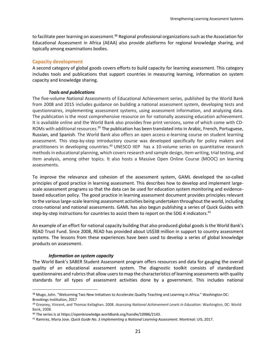to facilitate peer learning on assessment.<sup>38</sup> Regional professional organizations such as the Association for Educational Assessment in Africa (AEAA) also provide platforms for regional knowledge sharing, and typically among examinations bodies.

#### **Capacity development**

A second category of global goods covers efforts to build capacity for learning assessment. This category includes tools and publications that support countries in measuring learning, information on system capacity and knowledge sharing.

#### *Tools and publications*

The five-volume National Assessments of Educational Achievement series, published by the World Bank from 2008 and 2015 includes guidance on building a national assessment system, developing tests and questionnaires, implementing assessment systems, using assessment information, and analyzing data. The publication is the most comprehensive resource on for nationally assessing education achievement. It is available online and the World Bank also provides free print versions, some of which come with CD-ROMs with additional resources.<sup>39</sup> The publication has been translated into in Arabic, French, Portuguese, Russian, and Spanish. The World Bank also offers an open access e-learning course on student learning assessment. This step-by-step introductory course was developed specifically for policy makers and practitioners in developing countries.<sup>40</sup> UNESCO IIEP has a 10-volume series on quantitative research methods in educational planning, which covers research and sample design, item writing, trial testing, and item analysis, among other topics. It also hosts a Massive Open Online Course (MOOC) on learning assessments.

To improve the relevance and cohesion of the assessment system, GAML developed the so-called principles of good practice in learning assessment. This describes how to develop and implement largescale assessment programs so that the data can be used for education system monitoring and evidencebased education policy. The good practice in learning assessment document provides principles relevant to the various large-scale learning assessment activities being undertaken throughout the world, including cross-national and national assessments. GAML has also begun publishing a series of Quick Guides with step-by-step instructions for countries to assist them to report on the SDG 4 indicators.<sup>41</sup>

An example of an effort for national capacity building that also produced global goods is the World Bank's READ Trust Fund. Since 2008, READ has provided about US\$38 million in support to country assessment systems. The lessons from these experiences have been used to develop a series of global knowledge products on assessment.

#### *Information on system capacity*

 $\overline{a}$ 

The World Bank's SABER Student Assessment program offers resources and data for gauging the overall quality of an educational assessment system. The diagnostic toolkit consists of standardized questionnaires and rubricsthat allow usersto map the characteristics of learning assessments with quality standards for all types of assessment activities done by a government. This includes national

<sup>&</sup>lt;sup>38</sup> Mugo, John. "Welcoming Two New Initiatives to Accelerate Quality Teaching and Learning in Africa." Washington DC: Brookings Institution, 2017

<sup>39</sup> Greaney, Vincent, and Thomas Kellaghan. 2008. *Assessing National Achievement Levels in Education*. Washington, DC: World Bank, 2008.

<sup>40</sup> The series is at https://openknowledge.worldbank.org/handle/10986/2143.

<sup>41</sup> Ramirez, Maria Jose. *Quick Guide No. 3 Implementing a National Learning Assessment.* Montreal: UIS, 2017.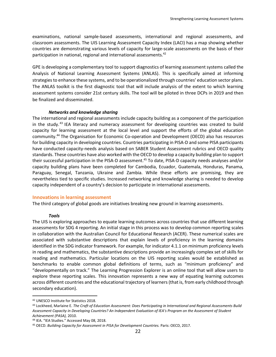examinations, national sample-based assessments, international and regional assessments, and classroom assessments. The UIS Learning Assessment Capacity Index (LACI) has a map showing whether countries are demonstrating various levels of capacity for large-scale assessments on the basis of their participation in national, regional and international assessments.<sup>42</sup>

GPE is developing a complementary tool to support diagnostics of learning assessment systems called the Analysis of National Learning Assessment Systems (ANLAS). This is specifically aimed at informing strategies to enhance these systems, and to be operationalized through countries' education sector plans. The ANLAS toolkit is the first diagnostic tool that will include analysis of the extent to which learning assessment systems consider 21st century skills. The tool will be piloted in three DCPs in 2019 and then be finalized and disseminated.

#### *Networks and knowledge sharing*

The international and regional assessments include capacity building as a component of the participation in the study.<sup>43</sup> IEA literacy and numeracy assessment for developing countries was created to build capacity for learning assessment at the local level and support the efforts of the global education community. <sup>44</sup> The Organisation for Economic Co-operation and Development (OECD) also has resources for building capacity in developing countries. Countries participating in PISA-D and some PISA participants have conducted capacity-needs analysis based on SABER Student Assessment rubrics and OECD quality standards. These countries have also worked with the OECD to develop a capacity building plan to support their successful participation in the PISA-D assessment.<sup>45</sup> To date, PISA-D capacity needs analyses and/or capacity building plans have been completed for Cambodia, Ecuador, Guatemala, Honduras, Panama, Paraguay, Senegal, Tanzania, Ukraine and Zambia. While these efforts are promising, they are nevertheless tied to specific studies. Increased networking and knowledge sharing is needed to develop capacity independent of a country's decision to participate in international assessments.

#### **Innovations in learning assessment**

The third category of global goods are initiatives breaking new ground in learning assessments.

#### *Tools*

The UIS is exploring approaches to equate learning outcomes across countries that use different learning assessments for SDG 4 reporting. An initial stage in this process was to develop common reporting scales in collaboration with the Australian Council for Educational Research (ACER). These numerical scales are associated with substantive descriptions that explain levels of proficiency in the learning domains identified in the SDG indicator framework. For example, for indicator 4.1.1 on minimum proficiency levels in reading and mathematics, the substantive descriptions provide an increasingly complex set of skills for reading and mathematics. Particular locations on the UIS reporting scales would be established as benchmarks to enable common global definitions of terms, such as "minimum proficiency" and "developmentally on track." The Learning Progression Explorer is an online tool that will allow users to explore these reporting scales. This innovation represents a new way of equating learning outcomes across different countries and the educational trajectory of learners(that is, from early childhood through secondary education).

<sup>42</sup> UNESCO Institute for Statistics 2018.

<sup>43</sup> Lockheed, Marlaine E. *The Craft of Education Assessment: Does Participating in International and Regional Assessments Build Assessment Capacity in Developing Countries? An Independent Evaluation of IEA's Program on the Assessment of Student Achievement (PASA),* 2010.

<sup>44</sup> IEA. "IEA Studies." Accessed May 08, 2018.

<sup>45</sup> OECD. *Building Capacity for Assessment in PISA for Development Countries.* Paris: OECD, 2017.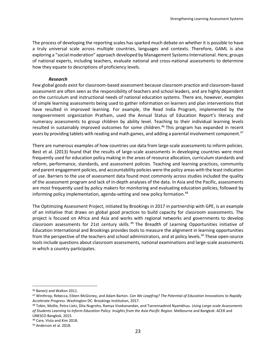The process of developing the reporting scales has sparked much debate on whether it is possible to have a truly universal scale across multiple countries, languages and contexts. Therefore, GAML is also exploring a "social moderation" approach developed by Management Systems International. Here, groups of national experts, including teachers, evaluate national and cross-national assessments to determine how they equate to descriptions of proficiency levels.

#### *Research*

Few global goods exist for classroom-based assessment because classroom practice and classroom-based assessment are often seen as the responsibility of teachers and school leaders, and are highly dependent on the curriculum and instructional needs of national education systems. There are, however, examples of simple learning assessments being used to gather information on learners and plan interventions that have resulted in improved learning. For example, the Read India Program, implemented by the nongovernment organization Pratham, used the Annual Status of Education Report's literacy and numeracy assessments to group children by ability level. Teaching to their individual learning levels resulted in sustainably improved outcomes for some children.<sup>46</sup> This program has expanded in recent years by providing tablets with reading and math games, and adding a parental involvement component. $^{47}$ 

There are numerous examples of how countries use data from large-scale assessments to inform policies. Best et al. (2013) found that the results of large-scale assessments in developing countries were most frequently used for education policy making in the areas of resource allocation, curriculum standards and reform, performance, standards, and assessment policies. Teaching and learning practices, community and parent engagement policies, and accountability policies were the policy areas with the least indication of use. Barriers to the use of assessment data found most commonly across studies included the quality of the assessment program and lack of in-depth analyses of the data. In Asia and the Pacific, assessments are most frequently used by policy makers for monitoring and evaluating education policies, followed by informing policy implementation, agenda-setting and new policy formation.<sup>48</sup>

The Optimizing Assessment Project, initiated by Brookings in 2017 in partnership with GPE, is an example of an initiative that draws on global good practices to build capacity for classroom assessments. The project is focused on Africa and Asia and works with regional networks and governments to develop classroom assessments for 21st century skills.<sup>49</sup> The Breadth of Learning Opportunities initiative of Education International and Brookings provides tools to measure the alignment in learning opportunities from the perspective of the teachers and school administrators, and at policy levels.<sup>50</sup> These open-source tools include questions about classroom assessments, national examinations and large-scale assessments in which a country participates.

<sup>46</sup> Banerji and Walton 2011.

<sup>47</sup> Winthrop, Rebecca, Eileen McGivney, and Adam Barton. *Can We Leapfrog? The Potential of Education Innovations to Rapidly Accelerate Progress.* Washington DC: Brookings Institution, 2017.

<sup>48</sup> Tobin, Mollie, Petra Lietz, Dita Nugroho, Ramya Vivekanandan, and Tserennadmid Nyamkhuu. *Using Large-scale Assessments of Students Learning to Inform Education Policy: Insights from the Asia-Pacific Region*. Melbourne and Bangkok: ACER and UNESCO Bangkok, 2015.

<sup>49</sup> Care, Vista and Kim 2018.

<sup>50</sup> Anderson et al. 2018.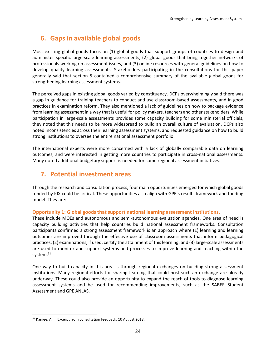## **6. Gaps in available global goods**

Most existing global goods focus on (1) global goods that support groups of countries to design and administer specific large-scale learning assessments, (2) global goods that bring together networks of professionals working on assessment issues, and (3) online resources with general guidelines on how to develop quality learning assessments. Stakeholders participating in the consultations for this paper generally said that section 5 contained a comprehensive summary of the available global goods for strengthening learning assessment systems.

The perceived gaps in existing global goods varied by constituency. DCPs overwhelmingly said there was a gap in guidance for training teachers to conduct and use classroom-based assessments, and in good practices in examination reform. They also mentioned a lack of guidelines on how to package evidence from learning assessment in a way that is useful for policy makers, teachers and other stakeholders. While participation in large-scale assessments provides some capacity building for some ministerial officials, they noted that this needs to be more widespread to build an overall culture of evaluation. DCPs also noted inconsistencies across their learning assessment systems, and requested guidance on how to build strong institutions to oversee the entire national assessment portfolio.

The international experts were more concerned with a lack of globally comparable data on learning outcomes, and were interested in getting more countries to participate in cross-national assessments. Many noted additional budgetary support is needed for some regional assessment initiatives.

## **7. Potential investment areas**

Through the research and consultation process, four main opportunities emerged for which global goods funded by KIX could be critical. These opportunities also align with GPE's results framework and funding model. They are:

#### **Opportunity 1: Global goods that support national learning assessment institutions.**

These include MOEs and autonomous and semi-autonomous evaluation agencies. One area of need is capacity building activities that help countries build national assessment frameworks. Consultation participants confirmed a strong assessment framework is an approach where (1) learning and learning outcomes are improved through the effective use of classroom assessments that inform pedagogical practices; (2) examinations, if used, certify the attainment of this learning; and (3) large-scale assessments are used to monitor and support systems and processes to improve learning and teaching within the system.<sup>51</sup>

One way to build capacity in this area is through regional exchanges on building strong assessment institutions. Many regional efforts for sharing learning that could host such an exchange are already underway. These could also provide an opportunity to expand the reach of tools to diagnose learning assessment systems and be used for recommending improvements, such as the SABER Student Assessment and GPE ANLAS.

<sup>51</sup> Kanjee, Anil. Excerpt from consultation feedback. 10 August 2018.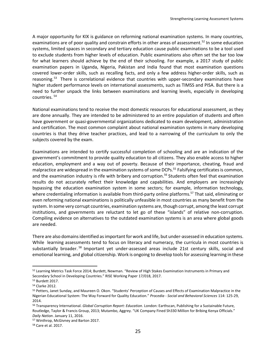A major opportunity for KIX is guidance on reforming national examination systems. In many countries, examinations are of poor quality and constrain efforts in other areas of assessment.<sup>52</sup> In some education systems, limited spaces in secondary and tertiary education cause public examinations to be a tool used to exclude students from higher levels of education. Public examinations also often set the bar too low for what learners should achieve by the end of their schooling. For example, a 2017 study of public examination papers in Uganda, Nigeria, Pakistan and India found that most examination questions covered lower-order skills, such as recalling facts, and only a few address higher-order skills, such as reasoning.<sup>53</sup> There is correlational evidence that countries with upper-secondary examinations have higher student performance levels on international assessments, such as TIMSS and PISA. But there is a need to further unpack the links between examinations and learning levels, especially in developing countries. 54

National examinations tend to receive the most domestic resources for educational assessment, as they are done annually. They are intended to be administered to an entire population of students and often have government or quasi-governmental organizations dedicated to exam development, administration and certification. The most common complaint about national examination systems in many developing countries is that they drive teacher practices, and lead to a narrowing of the curriculum to only the subjects covered by the exam.

Examinations are intended to certify successful completion of schooling and are an indication of the government's commitment to provide quality education to all citizens. They also enable access to higher education, employment and a way out of poverty. Because of their importance, cheating, fraud and malpractice are widespread in the examination systems of some DCPs.<sup>55</sup> Falsifying certificates is common, and the examination industry is rife with bribery and corruption.<sup>56</sup> Students often feel that examination results do not accurately reflect their knowledge and capabilities. And employers are increasingly bypassing the education examination system in some sectors; for example, information technology, where credentialing information is available from third-party online platforms.<sup>57</sup> That said, eliminating or even reforming national examinations is politically unfeasible in most countries as many benefit from the system. In some very corrupt countries, examination systems are, though corrupt, among the least corrupt institutions, and governments are reluctant to let go of these "islands" of relative non-corruption. Compiling evidence on alternatives to the outdated examination systems is an area where global goods are needed.

There are also domains identified as important for work and life, but under-assessed in education systems. While learning assessments tend to focus on literacy and numeracy, the curricula in most countries is substantially broader.<sup>58</sup> Important yet under-assessed areas include 21st century skills, social and emotional learning, and global citizenship. Work is ongoing to develop tools for assessing learning in these

<sup>52</sup> Learning Metrics Task Force 2014; Burdett, Newman. "Review of High Stakes Examination Instruments in Primary and Secondary School in Developing Countries." RISE Working Paper 17/018, 2017.

<sup>53</sup> Burdett 2017.

<sup>54</sup> Clarke 2012.

<sup>55</sup> Petters, Janet Sunday, and Maureen O. Okon. "Students' Perception of Causes and Effects of Examination Malpractice in the Nigerian Educational System: The Way Forward for Quality Education." *Procedia - Social and Behavioral Sciences* 114: 125-29, 2014.

<sup>56</sup> Transparency International. *Global Corruption Report: Education*. London: Earthscan, Publishing for a Sustainable Future, Routledge, Taylor & Francis Group, 2013; Mutambo, Aggrey. "UK Company Fined Sh330 Million for Bribing Kenya Officials." *Daily Nation*. January 11, 2016.

<sup>57</sup> Winthrop, McGivney and Barton 2017.

<sup>58</sup> Care et al. 2017.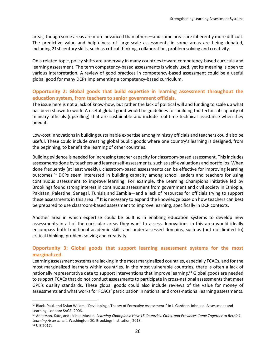areas, though some areas are more advanced than others—and some areas are inherently more difficult. The predictive value and helpfulness of large-scale assessments in some areas are being debated, including 21st century skills, such as critical thinking, collaboration, problem solving and creativity.

On a related topic, policy shifts are underway in many countries toward competency-based curricula and learning assessment. The term competency-based assessments is widely used, yet its meaning is open to various interpretation. A review of good practices in competency-based assessment could be a useful global good for many DCPs implementing a competency-based curriculum.

#### **Opportunity 2: Global goods that build expertise in learning assessment throughout the education system, from teachers to senior government officials.**

The issue here is not a lack of know-how, but rather the lack of political will and funding to scale up what has been shown to work. A useful global good would be guidelines for building the technical capacity of ministry officials (upskilling) that are sustainable and include real-time technical assistance when they need it.

Low-cost innovations in building sustainable expertise among ministry officials and teachers could also be useful. These could include creating global public goods where one country's learning is designed, from the beginning, to benefit the learning of other countries.

Building evidence is needed for increasing teacher capacity for classroom-based assessment. This includes assessments done by teachers and learner self-assessments, such as self-evaluations and portfolios. When done frequently (at least weekly), classroom-based assessments can be effective for improving learning outcomes.<sup>59</sup> DCPs seem interested in building capacity among school leaders and teachers for using continuous assessment to improve learning. For example, the Learning Champions initiative led by Brookings found strong interest in continuous assessment from government and civil society in Ethiopia, Pakistan, Palestine, Senegal, Tunisia and Zambia—and a lack of resources for officials trying to support these assessments in this area .<sup>60</sup> It is necessary to expand the knowledge base on how teachers can best be prepared to use classroom-based assessment to improve learning, specifically in DCP contexts.

Another area in which expertise could be built is in enabling education systems to develop new assessments in all of the curricular areas they want to assess. Innovations in this area would ideally encompass both traditional academic skills and under-assessed domains, such as (but not limited to) critical thinking, problem solving and creativity.

#### **Opportunity 3: Global goods that support learning assessment systems for the most marginalized.**

Learning assessment systems are lacking in the most marginalized countries, especially FCACs, and for the most marginalized learners within countries. In the most vulnerable countries, there is often a lack of nationally representative data to support interventions that improve learning.<sup>61</sup> Global goods are needed to support FCACs that do not conduct assessments to participate in cross-national assessments that meet GPE's quality standards. These global goods could also include reviews of the value for money of assessments and what works for FCACs' participation in national and cross-national learning assessments.

<sup>59</sup> Black, Paul, and Dylan Wiliam. "Developing a Theory of Formative Assessment." In J. Gardner, John, ed. Assessment and Learning. London: SAGE, 2006.

<sup>60</sup> Anderson, Kate, and Joshua Muskin. *Learning Champions: How 15 Countries, Cities, and Provinces Came Together to Rethink Learning Assessment.* Washington DC: Brookings Institution, 2018. <sup>61</sup> UIS 2017a.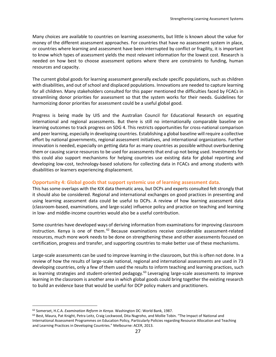Many choices are available to countries on learning assessments, but little is known about the value for money of the different assessment approaches. For countries that have no assessment system in place, or countries where learning and assessment have been interrupted by conflict or fragility, it is important to know which types of assessment yields the most relevant information for the lowest cost. Research is needed on how best to choose assessment options where there are constraints to funding, human resources and capacity.

The current global goods for learning assessment generally exclude specific populations, such as children with disabilities, and out of school and displaced populations. Innovations are needed to capture learning for all children. Many stakeholders consulted for this paper mentioned the difficulties faced by FCACs in streamlining donor priorities for assessment so that the system works for their needs. Guidelines for harmonizing donor priorities for assessment could be a useful global good.

Progress is being made by UIS and the Australian Council for Educational Research on equating international and regional assessments. But there is still no internationally comparable baseline on learning outcomes to track progress on SDG 4. This restricts opportunities for cross-national comparison and peer learning, especially in developing countries. Establishing a global baseline will require a collective effort by national governments, regional assessment initiatives, and international organizations. Further innovation is needed, especially on getting data for as many countries as possible without overburdening them or causing scarce resources to be used for assessments that end up not being used. Investments for this could also support mechanisms for helping countries use existing data for global reporting and developing low-cost, technology-based solutions for collecting data in FCACs and among students with disabilities or learners experiencing displacement.

#### **Opportunity 4: Global goods that support systemic use of learning assessment data.**

This has some overlaps with the KIX data thematic area, but DCPs and experts consulted felt strongly that it should also be considered. Regional and international exchanges on good practices in presenting and using learning assessment data could be useful to DCPs. A review of how learning assessment data (classroom-based, examinations, and large-scale) influence policy and practice on teaching and learning in low- and middle-income countries would also be a useful contribution.

Some countries have developed ways of deriving information from examinations for improving classroom instruction. Kenya is one of them.<sup>62</sup> Because examinations receive considerable assessment-related resources, much more work needs to be done on strengthening these and other assessments focused on certification, progress and transfer, and supporting countries to make better use of these mechanisms.

Large-scale assessments can be used to improve learning in the classroom, but this is often not done. In a review of how the results of large-scale national, regional and international assessments are used in 73 developing countries, only a few of them used the results to inform teaching and learning practices, such as learning strategies and student-oriented pedagogy.<sup>63</sup> Leveraging large-scale assessments to improve learning in the classroom is another area in which global goods could bring together the existing research to build an evidence base that would be useful for DCP policy makers and practitioners.

<sup>62</sup> Somerset, H.C.A. *Examination Reform in Kenya*. Washington DC: World Bank, 1987.

<sup>&</sup>lt;sup>63</sup> Best, Maura, Pat Knight, Petra Leitz, Craig Lockwood, Dita Nugroho, and Mollie Tobin. "The Impact of National and International Assessment Programmes on Education Policy, Particularly Policies regarding Resource Allocation and Teaching and Learning Practices in Developing Countries." Melbourne: ACER, 2013.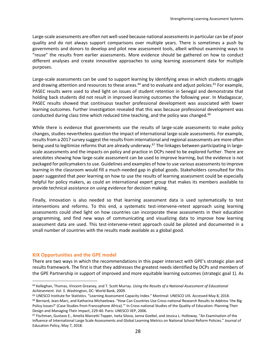Large-scale assessments are often not well-used because national assessments in particular can be of poor quality and do not always support comparisons over multiple years. There is sometimes a push by governments and donors to develop and pilot new assessment tools, albeit without examining ways to "reuse" the results from earlier assessments. More evidence should be gathered on how to conduct different analyses and create innovative approaches to using learning assessment data for multiple purposes.

Large-scale assessments can be used to support learning by identifying areas in which students struggle and drawing attention and resources to these areas.<sup>64</sup> and to evaluate and adjust policies.<sup>65</sup> For example, PASEC results were used to shed light on issues of student retention in Senegal and demonstrate that holding back students did not result in improved learning outcomes the following year. In Madagascar, PASEC results showed that continuous teacher professional development was associated with lower learning outcomes. Further investigation revealed that this was because professional development was conducted during class time which reduced time teaching, and the policy was changed. $66$ 

While there is evidence that governments use the results of large-scale assessments to make policy changes, studies nevertheless question the impact of international large-scale assessments. For example, results from a 2017 survey suggest the results from international and regional assessments are more often being used to legitimize reforms that are already underway.<sup>67</sup> The linkages between participating in largescale assessments and the impacts on policy and practice in DCPs need to be explored further. There are anecdotes showing how large-scale assessment can be used to improve learning, but the evidence is not packaged for policymakers to use. Guidelines and examples of how to use various assessments to improve learning in the classroom would fill a much-needed gap in global goods. Stakeholders consulted for this paper suggested that peer learning on how to use the results of learning assessment could be especially helpful for policy makers, as could an international expert group that makes its members available to provide technical assistance on using evidence for decision making.

Finally, innovation is also needed so that learning assessment data is used systematically to test interventions and reforms. To this end, a systematic test-intervene-retest approach using learning assessments could shed light on how countries can incorporate these assessments in their education programming, and find new ways of communicating and visualizing data to improve how learning assessment data are used. This test-intervene-retest approach could be piloted and documented in a small number of countries with the results made available as a global good.

#### **KIX Opportunities and the GPE model**

 $\overline{a}$ 

There are two ways in which the recommendations in this paper intersect with GPE's strategic plan and results framework. The first is that they addresses the greatest needs identified by DCPs and members of the GPE Partnership in support of improved and more equitable learning outcomes (strategic goal 1). As

<sup>64</sup> Kelleghan, Thomas, Vincent Greaney, and T. Scott Murray. *Using the Results of a National Assessment of Educational Achievement. Vol. 5*. Washington, DC: World Bank, 2009.

<sup>65</sup> UNESCO Institute for Statistics. "Learning Assessment Capacity Index." Montreal: UNESCO UIS. Accessed May 8, 2018.

<sup>66</sup> Bernard, Jean-Marc, and Katharina Michaelowa. "How Can Countries Use Cross-national Research Results to Address 'the Big Policy Issues?' (Case Studies from Francophone Africa).'" In Cross-national Studies of the Quality of Education: Planning Their Design and Managing Their Impact, 229-40. Paris: UNESCO IIEP, 2006.

<sup>67</sup> Fischman, Gustavo E., Amelia Marcetti Topper, Iveta Silova, Janna Goebel, and Jessica L. Holloway. "An Examination of the Influence of International Large Scale Assessments and Global Learning Metrics on National School Reform Policies." Journal of Education Policy, May 7, 2018.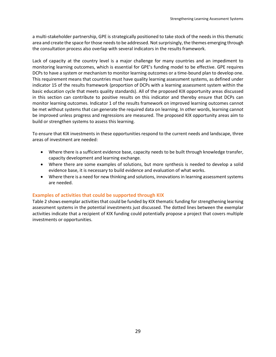a multi-stakeholder partnership, GPE is strategically positioned to take stock of the needs in this thematic area and create the space for those needs to be addressed. Not surprisingly, the themes emerging through the consultation process also overlap with several indicators in the results framework.

Lack of capacity at the country level is a major challenge for many countries and an impediment to monitoring learning outcomes, which is essential for GPE's funding model to be effective. GPE requires DCPs to have a system or mechanism to monitor learning outcomes or a time-bound plan to develop one. This requirement means that countries must have quality learning assessment systems, as defined under indicator 15 of the results framework (proportion of DCPs with a learning assessment system within the basic education cycle that meets quality standards). All of the proposed KIX opportunity areas discussed in this section can contribute to positive results on this indicator and thereby ensure that DCPs can monitor learning outcomes. Indicator 1 of the results framework on improved learning outcomes cannot be met without systems that can generate the required data on learning. In other words, learning cannot be improved unless progress and regressions are measured. The proposed KIX opportunity areas aim to build or strengthen systems to assess this learning.

To ensure that KIX investments in these opportunities respond to the current needs and landscape, three areas of investment are needed:

- Where there is a sufficient evidence base, capacity needs to be built through knowledge transfer, capacity development and learning exchange.
- Where there are some examples of solutions, but more synthesis is needed to develop a solid evidence base, it is necessary to build evidence and evaluation of what works.
- Where there is a need for new thinking and solutions, innovations in learning assessment systems are needed.

#### **Examples of activities that could be supported through KIX**

Table 2 shows exemplar activities that could be funded by KIX thematic funding for strengthening learning assessment systems in the potential investments just discussed. The dotted lines between the exemplar activities indicate that a recipient of KIX funding could potentially propose a project that covers multiple investments or opportunities.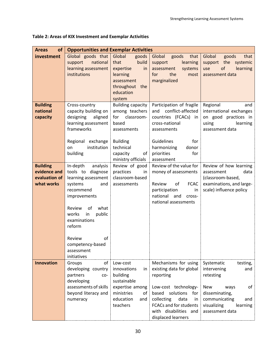| <b>Areas</b><br><b>of</b>                                      | <b>Opportunities and Exemplar Activities</b>                                                                                                                                                                                                                |                                                                                                                                  |                                                                                                                                                                                                                                |                                                                                                                                                                               |  |  |
|----------------------------------------------------------------|-------------------------------------------------------------------------------------------------------------------------------------------------------------------------------------------------------------------------------------------------------------|----------------------------------------------------------------------------------------------------------------------------------|--------------------------------------------------------------------------------------------------------------------------------------------------------------------------------------------------------------------------------|-------------------------------------------------------------------------------------------------------------------------------------------------------------------------------|--|--|
| investment                                                     | Global goods that<br>national<br>support<br>learning assessment                                                                                                                                                                                             | Global<br>goods<br>that<br>build<br>expertise<br>in                                                                              | Global<br>goods<br>that<br>support<br>learning<br>systems<br>assessment                                                                                                                                                        | Global<br>goods<br>that<br>support the<br>systemic<br>of<br>learning<br>use                                                                                                   |  |  |
|                                                                | institutions                                                                                                                                                                                                                                                | learning<br>assessment<br>throughout<br>the<br>education<br>system                                                               | the<br>for<br>most<br>marginalized                                                                                                                                                                                             | assessment data                                                                                                                                                               |  |  |
| <b>Building</b><br>national<br>capacity                        | Cross-country<br>capacity building on<br>designing<br>aligned<br>learning assessment<br>frameworks                                                                                                                                                          | <b>Building capacity</b><br>among teachers<br>classroom-<br>for<br>based<br>assessments                                          | Participation of fragile<br>conflict-affected<br>and<br>countries (FCACs) in<br>cross-national<br>assessments                                                                                                                  | Regional<br>and<br>international exchanges<br>on good practices in<br>using<br>learning<br>assessment data                                                                    |  |  |
|                                                                | Regional exchange<br>institution<br>on<br>building                                                                                                                                                                                                          | <b>Building</b><br>technical<br>capacity<br>of<br>ministry officials                                                             | Guidelines<br>for<br>harmonizing<br>donor<br>priorities<br>for<br>assessment                                                                                                                                                   |                                                                                                                                                                               |  |  |
| <b>Building</b><br>evidence and<br>evaluation of<br>what works | In-depth<br>analysis<br>tools to diagnose<br>learning assessment<br>systems<br>and<br>recommend<br>improvements<br>Review<br>of<br>what<br>public<br>works<br>in<br>examinations<br>reform<br>of<br>Review<br>competency-based<br>assessment<br>initiatives | Review of good<br>practices<br>in<br>classroom-based<br>assessments                                                              | money of assessments<br>Review<br>of<br>FCAC  <br>participation<br>in<br>national<br>and<br>cross-<br>national assessments                                                                                                     | Review of the value for Review of how learning<br>data<br>assessment<br>(classroom-based,<br>examinations, and large-<br>scale) influence policy                              |  |  |
| <b>Innovation</b>                                              | of<br>Groups<br>developing country<br>partners<br>co-<br>developing<br>assessments of skills<br>beyond literacy and<br>numeracy                                                                                                                             | Low-cost<br>innovations<br>in.<br>building<br>sustainable<br>expertise among<br>ministries<br>of<br>education<br>and<br>teachers | Mechanisms for using<br>existing data for global<br>reporting<br>Low-cost technology-<br>based<br>solutions<br>for<br>data<br>collecting<br>in<br><b>FCACs and for students</b><br>with disabilities and<br>displaced learners | Systematic<br>testing,<br>intervening<br>and<br>retesting<br><b>New</b><br>οf<br>ways<br>disseminating,<br>communicating<br>and<br>visualizing<br>learning<br>assessment data |  |  |

#### **Table 2: Areas of KIX Investment and Exemplar Activities**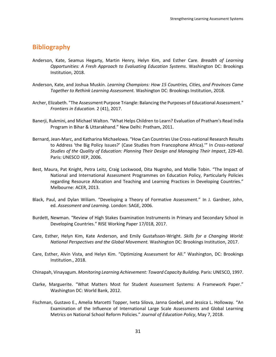### **Bibliography**

- Anderson, Kate, Seamus Hegarty, Martin Henry, Helyn Kim, and Esther Care. *Breadth of Learning Opportunities: A Fresh Approach to Evaluating Education Systems*. Washington DC: Brookings Institution, 2018.
- Anderson, Kate, and Joshua Muskin. *Learning Champions: How 15 Countries, Cities, and Provinces Came Together to Rethink Learning Assessment.* Washington DC: Brookings Institution, 2018.
- Archer, Elizabeth. "The Assessment Purpose Triangle: Balancing the Purposes of Educational Assessment." *Frontiers in Education.* 2 (41), 2017.
- Banerji, Rukmini, and Michael Walton. "What Helps Children to Learn? Evaluation of Pratham's Read India Program in Bihar & Uttarakhand." New Delhi: Pratham, 2011.
- Bernard, Jean-Marc, and Katharina Michaelowa. "How Can Countries Use Cross-national Research Results to Address 'the Big Policy Issues?' (Case Studies from Francophone Africa).'" In *Cross-national Studies of the Quality of Education: Planning Their Design and Managing Their Impact*, 229-40. Paris: UNESCO IIEP, 2006.
- Best, Maura, Pat Knight, Petra Leitz, Craig Lockwood, Dita Nugroho, and Mollie Tobin. "The Impact of National and International Assessment Programmes on Education Policy, Particularly Policies regarding Resource Allocation and Teaching and Learning Practices in Developing Countries." Melbourne: ACER, 2013.
- Black, Paul, and Dylan Wiliam. "Developing a Theory of Formative Assessment." In J. Gardner, John, ed. *Assessment and Learning.* London: SAGE, 2006.
- Burdett, Newman. "Review of High Stakes Examination Instruments in Primary and Secondary School in Developing Countries." RISE Working Paper 17/018, 2017.
- Care, Esther, Helyn Kim, Kate Anderson, and Emily Gustafsson-Wright. *Skills for a Changing World: National Perspectives and the Global Movement.* Washington DC: Brookings Institution, 2017.
- Care, Esther, Alvin Vista, and Helyn Kim. "Optimizing Assessment for All." Washington, DC: Brookings Institution., 2018.
- Chinapah, Vinayagum. *Monitoring Learning Achievement: Toward Capacity Building.* Paris: UNESCO, 1997.
- Clarke, Marguerite. "What Matters Most for Student Assessment Systems: A Framework Paper." Washington DC: World Bank, 2012.
- Fischman, Gustavo E., Amelia Marcetti Topper, Iveta Silova, Janna Goebel, and Jessica L. Holloway. "An Examination of the Influence of International Large Scale Assessments and Global Learning Metrics on National School Reform Policies." *Journal of Education Policy*, May 7, 2018.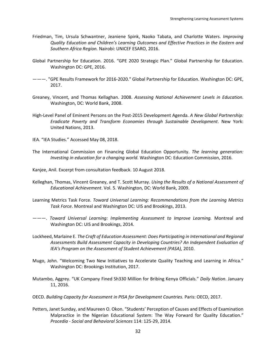- Friedman, Tim, Ursula Schwantner, Jeaniene Spink, Naoko Tabata, and Charlotte Waters. *Improving Quality Education and Children's Learning Outcomes and Effective Practices in the Eastern and Southern Africa Region.* Nairobi: UNICEF ESARO, 2016.
- Global Partnership for Education. 2016. "GPE 2020 Strategic Plan." Global Partnership for Education. Washington DC: GPE, 2016.
- ———. "GPE Results Framework for 2016-2020." Global Partnership for Education. Washington DC: GPE, 2017.
- Greaney, Vincent, and Thomas Kellaghan. 2008. *Assessing National Achievement Levels in Education*. Washington, DC: World Bank, 2008.
- High-Level Panel of Eminent Persons on the Post-2015 Development Agenda. *A New Global Partnership: Eradicate Poverty and Transform Economies through Sustainable Development*. New York: United Nations, 2013.
- IEA. "IEA Studies." Accessed May 08, 2018.
- The International Commission on Financing Global Education Opportunity. *The learning generation: Investing in education for a changing world.* Washington DC: Education Commission, 2016.
- Kanjee, Anil. Excerpt from consultation feedback. 10 August 2018.
- Kelleghan, Thomas, Vincent Greaney, and T. Scott Murray. *Using the Results of a National Assessment of Educational Achievement*. Vol. 5. Washington, DC: World Bank, 2009.
- Learning Metrics Task Force. *Toward Universal Learning: Recommendations from the Learning Metrics Task Force*. Montreal and Washington DC: UIS and Brookings, 2013.
- ———. *Toward Universal Learning: Implementing Assessment to Improve Learning.* Montreal and Washington DC: UIS and Brookings, 2014.
- Lockheed, Marlaine E. *The Craft of Education Assessment: Does Participating in International and Regional Assessments Build Assessment Capacity in Developing Countries? An Independent Evaluation of IEA's Program on the Assessment of Student Achievement (PASA),* 2010.
- Mugo, John. "Welcoming Two New Initiatives to Accelerate Quality Teaching and Learning in Africa." Washington DC: Brookings Institution, 2017.
- Mutambo, Aggrey. "UK Company Fined Sh330 Million for Bribing Kenya Officials." *Daily Nation*. January 11, 2016.
- OECD. *Building Capacity for Assessment in PISA for Development Countries.* Paris: OECD, 2017.
- Petters, Janet Sunday, and Maureen O. Okon. "Students' Perception of Causes and Effects of Examination Malpractice in the Nigerian Educational System: The Way Forward for Quality Education." *Procedia - Social and Behavioral Sciences* 114: 125-29, 2014.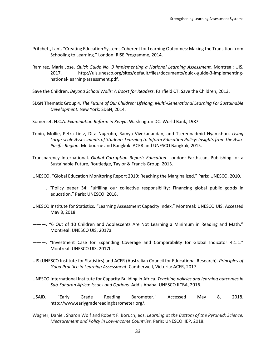- Pritchett, Lant. "Creating Education Systems Coherent for Learning Outcomes: Making the Transition from Schooling to Learning." London: RISE Programme, 2014.
- Ramirez, Maria Jose. *Quick Guide No. 3 Implementing a National Learning Assessment.* Montreal: UIS, 2017. http://uis.unesco.org/sites/default/files/documents/quick-guide-3-implementingnational-learning-assessment.pdf.
- Save the Children. *Beyond School Walls: A Boost for Readers*. Fairfield CT: Save the Children, 2013.
- SDSN Thematic Group 4. *The Future of Our Children: Lifelong, Multi-Generational Learning For Sustainable Development.* New York: SDSN, 2014.
- Somerset, H.C.A. *Examination Reform in Kenya*. Washington DC: World Bank, 1987.
- Tobin, Mollie, Petra Lietz, Dita Nugroho, Ramya Vivekanandan, and Tserennadmid Nyamkhuu. *Using Large-scale Assessments of Students Learning to Inform Education Policy: Insights from the Asia-Pacific Region*. Melbourne and Bangkok: ACER and UNESCO Bangkok, 2015.
- Transparency International. *Global Corruption Report: Education*. London: Earthscan, Publishing for a Sustainable Future, Routledge, Taylor & Francis Group, 2013.
- UNESCO. "Global Education Monitoring Report 2010: Reaching the Marginalized." Paris: UNESCO, 2010.
- ———. "Policy paper 34: Fulfilling our collective responsibility: Financing global public goods in education." Paris: UNESCO, 2018.
- UNESCO Institute for Statistics. "Learning Assessment Capacity Index." Montreal: UNESCO UIS. Accessed May 8, 2018.
- ———. "6 Out of 10 Children and Adolescents Are Not Learning a Minimum in Reading and Math." Montreal: UNESCO UIS, 2017a.
- ———. "Investment Case for Expanding Coverage and Comparability for Global Indicator 4.1.1." Montreal: UNESCO UIS, 2017b.
- UIS (UNESCO Institute for Statistics) and ACER (Australian Council for Educational Research). *Principles of Good Practice in Learning Assessment*. Camberwell, Victoria: ACER, 2017.
- UNESCO International Institute for Capacity Building in Africa. *Teaching policies and learning outcomes in Sub-Saharan Africa: Issues and Options.* Addis Ababa: UNESCO IICBA, 2016.
- USAID. "Early Grade Reading Barometer." Accessed May 8, 2018. http://www.earlygradereadingbarometer.org/.
- Wagner, Daniel, Sharon Wolf and Robert F. Boruch, eds. *Learning at the Bottom of the Pyramid: Science, Measurement and Policy in Low-Income Countries.* Paris: UNESCO IIEP, 2018.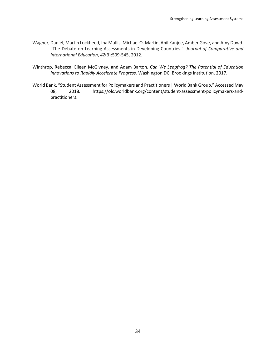- Wagner, Daniel, Martin Lockheed, Ina Mullis, Michael O. Martin, Anil Kanjee, Amber Gove, and Amy Dowd. "The Debate on Learning Assessments in Developing Countries." *Journal of Comparative and International Education*, *42*(3):509-545, 2012.
- Winthrop, Rebecca, Eileen McGivney, and Adam Barton. *Can We Leapfrog? The Potential of Education Innovations to Rapidly Accelerate Progress.* Washington DC: Brookings Institution, 2017.
- World Bank. "Student Assessment for Policymakers and Practitioners | World Bank Group." Accessed May 08, 2018. https://olc.worldbank.org/content/student-assessment-policymakers-andpractitioners.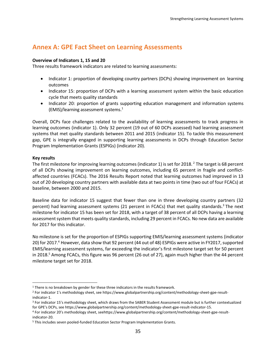## **Annex A: GPE Fact Sheet on Learning Assessments**

#### **Overview of Indicators 1, 15 and 20**

Three results framework indicators are related to learning assessments:

- Indicator 1: proportion of developing country partners (DCPs) showing improvement on learning outcomes
- Indicator 15: proportion of DCPs with a learning assessment system within the basic education cycle that meets quality standards
- Indicator 20: proportion of grants supporting education management and information systems (EMIS)/learning assessment systems. 1

Overall, DCPs face challenges related to the availability of learning assessments to track progress in learning outcomes (indicator 1). Only 32 percent (19 out of 60 DCPs assessed) had learning assessment systems that met quality standards between 2011 and 2015 (indicator 15). To tackle this measurement gap, GPE is integrally engaged in supporting learning assessments in DCPs through Education Sector Program Implementation Grants (ESPIGs) (indicator 20).

#### **Key results**

 $\overline{a}$ 

The first milestone for improving learning outcomes (indicator 1) is set for 2018. <sup>2</sup> The target is 68 percent of all DCPs showing improvement on learning outcomes, including 65 percent in fragile and conflictaffected countries (FCACs). The 2016 Results Report noted that learning outcomes had improved in 13 out of 20 developing country partners with available data at two points in time (two out of four FCACs) at baseline, between 2000 and 2015.

Baseline data for indicator 15 suggest that fewer than one in three developing country partners (32 percent) had learning assessment systems (21 percent in FCACs) that met quality standards.<sup>3</sup> The next milestone for indicator 15 has been set for 2018, with a target of 38 percent of all DCPs having a learning assessment system that meets quality standards, including 29 percent in FCACs. No new data are available for 2017 for this indicator.

No milestone is set for the proportion of ESPIGs supporting EMIS/learning assessment systems (indicator 20) for 2017.<sup>4</sup> However, data show that 92 percent (44 out of 48) ESPIGs were active in FY2017, supported EMIS/learning assessment systems, far exceeding the indicator's first milestone target set for 50 percent in 2018. <sup>5</sup> Among FCACs, this figure was 96 percent (26 out of 27), again much higher than the 44 percent milestone target set for 2018.

<sup>&</sup>lt;sup>1</sup> There is no breakdown by gender for these three indicators in the results framework.

<sup>2</sup> For indicator 1's methodology sheet, see https://www.globalpartnership.org/content/methodology-sheet-gpe-resultindicator-1.

<sup>&</sup>lt;sup>3</sup> For indicator 15's methodology sheet, which draws from the SABER Student Assessment module but is further contextualized for GPE's DCPs, see https://www.globalpartnership.org/content/methodology-sheet-gpe-result-indicator-15.

<sup>4</sup> For indicator 20's methodology sheet, seehttps://www.globalpartnership.org/content/methodology-sheet-gpe-resultindicator-20.

<sup>5</sup> This includes seven pooled-funded Education Sector Program Implementation Grants.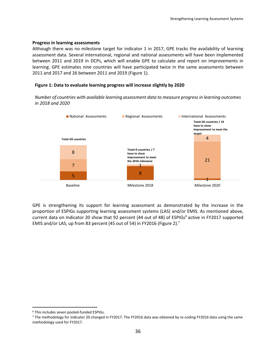#### **Progress in learning assessments**

Although there was no milestone target for indicator 1 in 2017, GPE tracks the availability of learning assessment data. Several international, regional and national assessments will have been implemented between 2011 and 2019 in DCPs, which will enable GPE to calculate and report on improvements in learning. GPE estimates nine countries will have participated twice in the same assessments between 2011 and 2017 and 26 between 2011 and 2019 (Figure 1).

#### **Figure 1: Data to evaluate learning progress will increase slightly by 2020**

*Number of countries with available learning assessment data to measure progress in learning outcomes in 2018 and 2020*



GPE is strengthening its support for learning assessment as demonstrated by the increase in the proportion of ESPIGs supporting learning assessment systems (LAS) and/or EMIS. As mentioned above, current data on Indicator 20 show that 92 percent (44 out of 48) of ESPIGs<sup>6</sup> active in FY2017 supported EMIS and/or LAS, up from 83 percent (45 out of 54) in FY2016 (Figure 2).<sup>7</sup>

<sup>6</sup> This includes seven pooled-funded ESPIGs.

<sup>7</sup> The methodology for indicator 20 changed in FY2017. The FY2016 data was obtained by re-coding FY2016 data using the same methodology used for FY2017.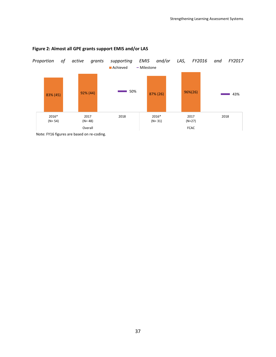

#### **Figure 2: Almost all GPE grants support EMIS and/or LAS**

Note: FY16 figures are based on re-coding.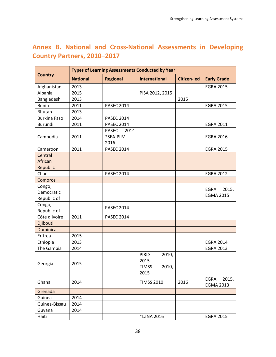## **Annex B. National and Cross-National Assessments in Developing Country Partners, 2010–2017**

|                                     | <b>Types of Learning Assessments Conducted by Year</b> |                                          |                                                                |                    |                                          |  |  |
|-------------------------------------|--------------------------------------------------------|------------------------------------------|----------------------------------------------------------------|--------------------|------------------------------------------|--|--|
| <b>Country</b>                      | <b>National</b>                                        | <b>Regional</b>                          | <b>International</b>                                           | <b>Citizen-led</b> | <b>Early Grade</b>                       |  |  |
| Afghanistan                         | 2013                                                   |                                          |                                                                |                    | <b>EGRA 2015</b>                         |  |  |
| Albania                             | 2015                                                   |                                          | PISA 2012, 2015                                                |                    |                                          |  |  |
| Bangladesh                          | 2013                                                   |                                          |                                                                | 2015               |                                          |  |  |
| Benin                               | 2011                                                   | <b>PASEC 2014</b>                        |                                                                |                    | <b>EGRA 2015</b>                         |  |  |
| <b>Bhutan</b>                       | 2013                                                   |                                          |                                                                |                    |                                          |  |  |
| <b>Burkina Faso</b>                 | 2014                                                   | <b>PASEC 2014</b>                        |                                                                |                    |                                          |  |  |
| Burundi                             | 2011                                                   | <b>PASEC 2014</b>                        |                                                                |                    | <b>EGRA 2011</b>                         |  |  |
| Cambodia                            | 2011                                                   | <b>PASEC</b><br>2014<br>*SEA-PLM<br>2016 |                                                                |                    | <b>EGRA 2016</b>                         |  |  |
| Cameroon                            | 2011                                                   | <b>PASEC 2014</b>                        |                                                                |                    | <b>EGRA 2015</b>                         |  |  |
| Central<br>African<br>Republic      |                                                        |                                          |                                                                |                    |                                          |  |  |
| Chad                                |                                                        | <b>PASEC 2014</b>                        |                                                                |                    | <b>EGRA 2012</b>                         |  |  |
| Comoros                             |                                                        |                                          |                                                                |                    |                                          |  |  |
| Congo,<br>Democratic<br>Republic of |                                                        |                                          |                                                                |                    | <b>EGRA</b><br>2015,<br><b>EGMA 2015</b> |  |  |
| Congo,<br>Republic of               |                                                        | <b>PASEC 2014</b>                        |                                                                |                    |                                          |  |  |
| Côte d'Ivoire                       | 2011                                                   | <b>PASEC 2014</b>                        |                                                                |                    |                                          |  |  |
| Djibouti                            |                                                        |                                          |                                                                |                    |                                          |  |  |
| <b>Dominica</b>                     |                                                        |                                          |                                                                |                    |                                          |  |  |
| Eritrea                             | 2015                                                   |                                          |                                                                |                    |                                          |  |  |
| Ethiopia                            | 2013                                                   |                                          |                                                                |                    | <b>EGRA 2014</b>                         |  |  |
| The Gambia                          | 2014                                                   |                                          |                                                                |                    | <b>EGRA 2013</b>                         |  |  |
| Georgia                             | 2015                                                   |                                          | <b>PIRLS</b><br>2010,<br>2015<br>2010,<br><b>TIMSS</b><br>2015 |                    |                                          |  |  |
| Ghana                               | 2014                                                   |                                          | <b>TIMSS 2010</b>                                              | 2016               | EGRA<br>2015,<br><b>EGMA 2013</b>        |  |  |
| Grenada                             |                                                        |                                          |                                                                |                    |                                          |  |  |
| Guinea                              | 2014                                                   |                                          |                                                                |                    |                                          |  |  |
| Guinea-Bissau                       | 2014                                                   |                                          |                                                                |                    |                                          |  |  |
| Guyana                              | 2014                                                   |                                          |                                                                |                    |                                          |  |  |
| Haiti                               |                                                        |                                          | *LaNA 2016                                                     |                    | <b>EGRA 2015</b>                         |  |  |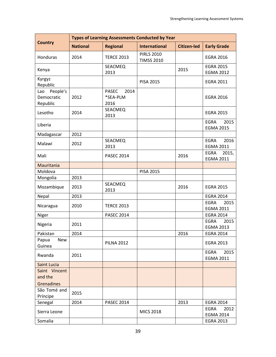|                                           | <b>Types of Learning Assessments Conducted by Year</b> |                                          |                                        |                    |                                          |  |  |  |
|-------------------------------------------|--------------------------------------------------------|------------------------------------------|----------------------------------------|--------------------|------------------------------------------|--|--|--|
| <b>Country</b>                            | <b>National</b>                                        | <b>Regional</b>                          | <b>International</b>                   | <b>Citizen-led</b> | <b>Early Grade</b>                       |  |  |  |
| Honduras                                  | 2014                                                   | <b>TERCE 2013</b>                        | <b>PIRLS 2010</b><br><b>TIMSS 2010</b> |                    | <b>EGRA 2016</b>                         |  |  |  |
| Kenya                                     |                                                        | SEACMEQ<br>2013                          |                                        | 2015               | <b>EGRA 2015</b><br><b>EGMA 2012</b>     |  |  |  |
| Kyrgyz<br>Republic                        |                                                        |                                          | <b>PISA 2015</b>                       |                    | <b>EGRA 2011</b>                         |  |  |  |
| People's<br>Lao<br>Democratic<br>Republic | 2012                                                   | <b>PASEC</b><br>2014<br>*SEA-PLM<br>2016 |                                        |                    | <b>EGRA 2016</b>                         |  |  |  |
| Lesotho                                   | 2014                                                   | SEACMEQ<br>2013                          |                                        |                    | <b>EGRA 2015</b>                         |  |  |  |
| Liberia                                   |                                                        |                                          |                                        |                    | 2015<br><b>EGRA</b><br><b>EGMA 2015</b>  |  |  |  |
| Madagascar                                | 2012                                                   |                                          |                                        |                    |                                          |  |  |  |
| Malawi                                    | 2012                                                   | <b>SEACMEQ</b><br>2013                   |                                        |                    | 2016<br><b>EGRA</b><br><b>EGMA 2011</b>  |  |  |  |
| Mali                                      |                                                        | <b>PASEC 2014</b>                        |                                        | 2016               | <b>EGRA</b><br>2015,<br><b>EGMA 2011</b> |  |  |  |
| Mauritania                                |                                                        |                                          |                                        |                    |                                          |  |  |  |
| Moldova                                   |                                                        |                                          | <b>PISA 2015</b>                       |                    |                                          |  |  |  |
| Mongolia                                  | 2013                                                   |                                          |                                        |                    |                                          |  |  |  |
| Mozambique                                | 2013                                                   | SEACMEQ<br>2013                          |                                        | 2016               | <b>EGRA 2015</b>                         |  |  |  |
| Nepal                                     | 2013                                                   |                                          |                                        |                    | <b>EGRA 2014</b>                         |  |  |  |
| Nicaragua                                 | 2010                                                   | <b>TERCE 2013</b>                        |                                        |                    | <b>EGRA</b><br>2015<br><b>EGMA 2011</b>  |  |  |  |
| Niger                                     |                                                        | <b>PASEC 2014</b>                        |                                        |                    | <b>EGRA 2014</b>                         |  |  |  |
| Nigeria                                   | 2011                                                   |                                          |                                        |                    | <b>EGRA</b><br>2015<br><b>EGMA 2013</b>  |  |  |  |
| Pakistan                                  | 2014                                                   |                                          |                                        | 2016               | <b>EGRA 2014</b>                         |  |  |  |
| Papua<br><b>New</b><br>Guinea             |                                                        | <b>PILNA 2012</b>                        |                                        |                    | <b>EGRA 2013</b>                         |  |  |  |
| Rwanda                                    | 2011                                                   |                                          |                                        |                    | <b>EGRA</b><br>2015<br><b>EGMA 2011</b>  |  |  |  |
| <b>Saint Lucia</b>                        |                                                        |                                          |                                        |                    |                                          |  |  |  |
| Saint Vincent<br>and the                  |                                                        |                                          |                                        |                    |                                          |  |  |  |
| Grenadines                                |                                                        |                                          |                                        |                    |                                          |  |  |  |
| São Tomé and<br>Príncipe                  | 2015                                                   |                                          |                                        |                    |                                          |  |  |  |
| Senegal                                   | 2014                                                   | <b>PASEC 2014</b>                        |                                        | 2013               | <b>EGRA 2014</b>                         |  |  |  |
| Sierra Leone                              |                                                        |                                          | <b>MICS 2018</b>                       |                    | 2012<br><b>EGRA</b><br><b>EGMA 2014</b>  |  |  |  |
| Somalia                                   |                                                        |                                          |                                        |                    | <b>EGRA 2013</b>                         |  |  |  |